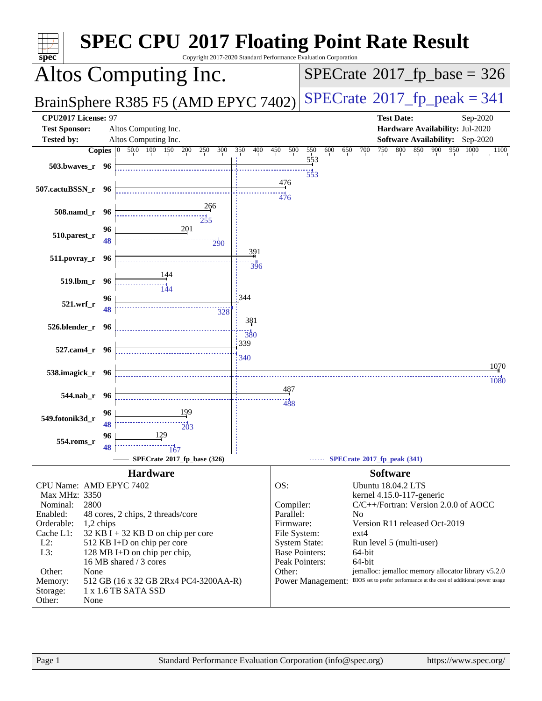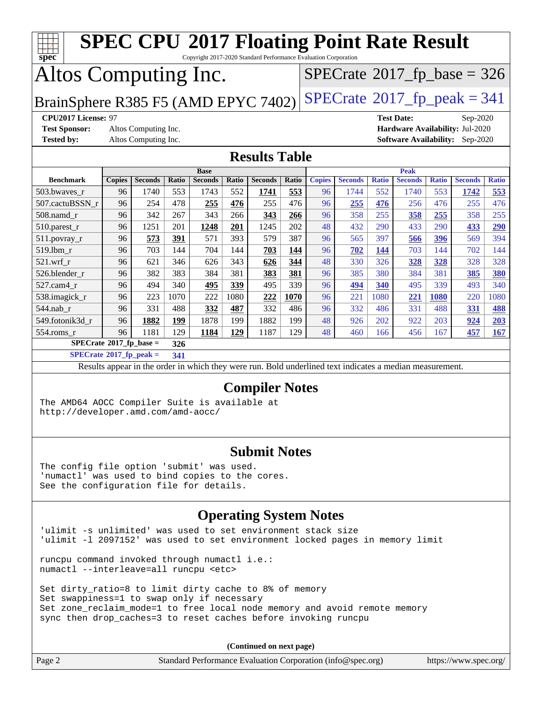| <b>SPEC CPU®2017 Floating Point Rate Result</b><br>$\top \bot$<br>Copyright 2017-2020 Standard Performance Evaluation Corporation<br>spec                                                                                      |               |                |       |                                                                                                          |       |                       |       |               |                |              |                |              |                |              |
|--------------------------------------------------------------------------------------------------------------------------------------------------------------------------------------------------------------------------------|---------------|----------------|-------|----------------------------------------------------------------------------------------------------------|-------|-----------------------|-------|---------------|----------------|--------------|----------------|--------------|----------------|--------------|
| Altos Computing Inc.<br>$SPECTate$ <sup>®</sup> 2017_fp_base = 326                                                                                                                                                             |               |                |       |                                                                                                          |       |                       |       |               |                |              |                |              |                |              |
| $SPECTate@2017_fp\_peak = 341$<br>BrainSphere R385 F5 (AMD EPYC 7402)                                                                                                                                                          |               |                |       |                                                                                                          |       |                       |       |               |                |              |                |              |                |              |
| CPU2017 License: 97<br><b>Test Date:</b><br>Sep-2020<br><b>Test Sponsor:</b><br>Altos Computing Inc.<br>Hardware Availability: Jul-2020<br><b>Tested by:</b><br>Altos Computing Inc.<br><b>Software Availability:</b> Sep-2020 |               |                |       |                                                                                                          |       |                       |       |               |                |              |                |              |                |              |
| <b>Results Table</b>                                                                                                                                                                                                           |               |                |       |                                                                                                          |       |                       |       |               |                |              |                |              |                |              |
|                                                                                                                                                                                                                                |               |                |       | <b>Base</b>                                                                                              |       |                       |       |               |                |              | <b>Peak</b>    |              |                |              |
| <b>Benchmark</b>                                                                                                                                                                                                               | <b>Copies</b> | <b>Seconds</b> | Ratio | <b>Seconds</b>                                                                                           | Ratio | <b>Seconds</b>        | Ratio | <b>Copies</b> | <b>Seconds</b> | <b>Ratio</b> | <b>Seconds</b> | <b>Ratio</b> | <b>Seconds</b> | <b>Ratio</b> |
| 503.bwaves_r                                                                                                                                                                                                                   | 96            | 1740           | 553   | 1743                                                                                                     | 552   | 1741                  | 553   | 96            | 1744           | 552          | 1740           | 553          | 1742           | 553          |
| 507.cactuBSSN_r                                                                                                                                                                                                                | 96            | 254            | 478   | 255                                                                                                      | 476   | 255                   | 476   | 96            | 255            | 476          | 256            | 476          | 255            | 476          |
| 508.namd r                                                                                                                                                                                                                     | 96            | 342            | 267   | 343                                                                                                      | 266   | 343                   | 266   | 96            | 358            | 255          | 358            | 255          | 358            | 255          |
| 510.parest_r                                                                                                                                                                                                                   | 96            | 1251           | 201   | 1248                                                                                                     | 201   | 1245                  | 202   | 48            | 432            | 290          | 433            | 290          | 433            | 290          |
| 511.povray_r                                                                                                                                                                                                                   | 96            | 573            | 391   | 571                                                                                                      | 393   | 579                   | 387   | 96            | 565            | 397          | 566            | 396          | 569            | 394          |
| 519.lbm_r                                                                                                                                                                                                                      | 96            | 703            | 144   | 704                                                                                                      | 144   | 703                   | 144   | 96            | 702            | 144          | 703            | 144          | 702            | 144          |
| $521.wrf_r$                                                                                                                                                                                                                    | 96            | 621            | 346   | 626                                                                                                      | 343   | 626                   | 344   | 48            | 330            | 326          | 328            | 328          | 328            | 328          |
| 526.blender_r                                                                                                                                                                                                                  | 96            | 382            | 383   | 384                                                                                                      | 381   | 383                   | 381   | 96            | 385            | 380          | 384            | 381          | 385            | 380          |
| 527.cam4_r                                                                                                                                                                                                                     | 96            | 494            | 340   | 495                                                                                                      | 339   | 495                   | 339   | 96            | 494            | 340          | 495            | 339          | 493            | 340          |
| 538.imagick_r                                                                                                                                                                                                                  | 96            | 223            | 1070  | 222                                                                                                      | 1080  | 222                   | 1070  | 96            | 221            | 1080         | 221            | 1080         | 220            | 1080         |
| 544.nab_r                                                                                                                                                                                                                      | 96            | 331            | 488   | 332                                                                                                      | 487   | 332                   | 486   | 96            | 332            | 486          | 331            | 488          | 331            | 488          |
| 549.fotonik3d_r                                                                                                                                                                                                                | 96            | 1882           | 199   | 1878                                                                                                     | 199   | 1882                  | 199   | 48            | 926            | 202          | 922            | 203          | 924            | 203          |
| 554.roms_r                                                                                                                                                                                                                     | 96            | 1181           | 129   | 1184                                                                                                     | 129   | 1187                  | 129   | 48            | 460            | 166          | 456            | 167          | 457            | 167          |
| $SPECrate$ <sup>®</sup> 2017_fp_base =                                                                                                                                                                                         |               |                | 326   |                                                                                                          |       |                       |       |               |                |              |                |              |                |              |
| $SPECrate^{\circ}2017$ _fp_peak =                                                                                                                                                                                              |               |                | 341   |                                                                                                          |       |                       |       |               |                |              |                |              |                |              |
|                                                                                                                                                                                                                                |               |                |       | Results appear in the order in which they were run. Bold underlined text indicates a median measurement. |       |                       |       |               |                |              |                |              |                |              |
|                                                                                                                                                                                                                                |               |                |       |                                                                                                          |       | <b>Compiler Notes</b> |       |               |                |              |                |              |                |              |
| The AMD64 AOCC Compiler Suite is available at<br>http://developer.amd.com/amd-aocc/                                                                                                                                            |               |                |       |                                                                                                          |       |                       |       |               |                |              |                |              |                |              |
| <b>Submit Notes</b><br>The config file option 'submit' was used.<br>'numactl' was used to bind copies to the cores.<br>See the configuration file for details.                                                                 |               |                |       |                                                                                                          |       |                       |       |               |                |              |                |              |                |              |
| <b>Operating System Notes</b><br>'ulimit -s unlimited' was used to set environment stack size<br>'ulimit -1 2097152' was used to set environment locked pages in memory limit                                                  |               |                |       |                                                                                                          |       |                       |       |               |                |              |                |              |                |              |

numactl --interleave=all runcpu <etc> Set dirty\_ratio=8 to limit dirty cache to 8% of memory

runcpu command invoked through numactl i.e.:

Set swappiness=1 to swap only if necessary Set zone\_reclaim\_mode=1 to free local node memory and avoid remote memory sync then drop\_caches=3 to reset caches before invoking runcpu

**(Continued on next page)**

| Page 2 | Standard Performance Evaluation Corporation (info@spec.org) | https://www.spec.org/ |
|--------|-------------------------------------------------------------|-----------------------|
|--------|-------------------------------------------------------------|-----------------------|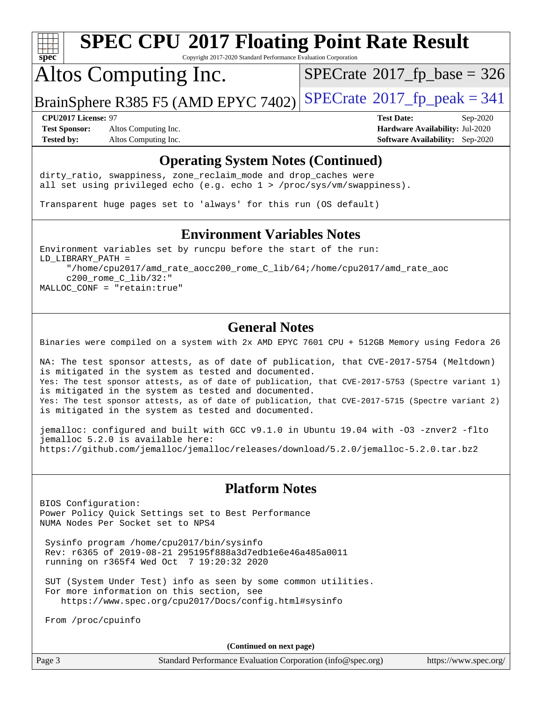

Copyright 2017-2020 Standard Performance Evaluation Corporation

## Altos Computing Inc.

 $SPECTate$ <sup>®</sup>[2017\\_fp\\_base =](http://www.spec.org/auto/cpu2017/Docs/result-fields.html#SPECrate2017fpbase) 326

BrainSphere R385 F5 (AMD EPYC 7402) [SPECrate](http://www.spec.org/auto/cpu2017/Docs/result-fields.html#SPECrate2017fppeak)®[2017\\_fp\\_peak = 3](http://www.spec.org/auto/cpu2017/Docs/result-fields.html#SPECrate2017fppeak)41

**[Test Sponsor:](http://www.spec.org/auto/cpu2017/Docs/result-fields.html#TestSponsor)** Altos Computing Inc. **[Hardware Availability:](http://www.spec.org/auto/cpu2017/Docs/result-fields.html#HardwareAvailability)** Jul-2020 **[Tested by:](http://www.spec.org/auto/cpu2017/Docs/result-fields.html#Testedby)** Altos Computing Inc. **[Software Availability:](http://www.spec.org/auto/cpu2017/Docs/result-fields.html#SoftwareAvailability)** Sep-2020

**[CPU2017 License:](http://www.spec.org/auto/cpu2017/Docs/result-fields.html#CPU2017License)** 97 **[Test Date:](http://www.spec.org/auto/cpu2017/Docs/result-fields.html#TestDate)** Sep-2020

#### **[Operating System Notes \(Continued\)](http://www.spec.org/auto/cpu2017/Docs/result-fields.html#OperatingSystemNotes)**

dirty\_ratio, swappiness, zone\_reclaim\_mode and drop caches were all set using privileged echo (e.g. echo 1 > /proc/sys/vm/swappiness).

Transparent huge pages set to 'always' for this run (OS default)

#### **[Environment Variables Notes](http://www.spec.org/auto/cpu2017/Docs/result-fields.html#EnvironmentVariablesNotes)**

Environment variables set by runcpu before the start of the run: LD\_LIBRARY\_PATH = "/home/cpu2017/amd\_rate\_aocc200\_rome\_C\_lib/64;/home/cpu2017/amd\_rate\_aoc c200\_rome\_C\_lib/32:" MALLOC\_CONF = "retain:true"

#### **[General Notes](http://www.spec.org/auto/cpu2017/Docs/result-fields.html#GeneralNotes)**

Binaries were compiled on a system with 2x AMD EPYC 7601 CPU + 512GB Memory using Fedora 26

NA: The test sponsor attests, as of date of publication, that CVE-2017-5754 (Meltdown) is mitigated in the system as tested and documented. Yes: The test sponsor attests, as of date of publication, that CVE-2017-5753 (Spectre variant 1) is mitigated in the system as tested and documented. Yes: The test sponsor attests, as of date of publication, that CVE-2017-5715 (Spectre variant 2) is mitigated in the system as tested and documented.

jemalloc: configured and built with GCC v9.1.0 in Ubuntu 19.04 with -O3 -znver2 -flto jemalloc 5.2.0 is available here: <https://github.com/jemalloc/jemalloc/releases/download/5.2.0/jemalloc-5.2.0.tar.bz2>

#### **[Platform Notes](http://www.spec.org/auto/cpu2017/Docs/result-fields.html#PlatformNotes)**

BIOS Configuration: Power Policy Quick Settings set to Best Performance NUMA Nodes Per Socket set to NPS4

 Sysinfo program /home/cpu2017/bin/sysinfo Rev: r6365 of 2019-08-21 295195f888a3d7edb1e6e46a485a0011 running on r365f4 Wed Oct 7 19:20:32 2020

 SUT (System Under Test) info as seen by some common utilities. For more information on this section, see <https://www.spec.org/cpu2017/Docs/config.html#sysinfo>

From /proc/cpuinfo

**(Continued on next page)**

|  | Page |  |
|--|------|--|
|--|------|--|

Page 3 Standard Performance Evaluation Corporation [\(info@spec.org\)](mailto:info@spec.org) <https://www.spec.org/>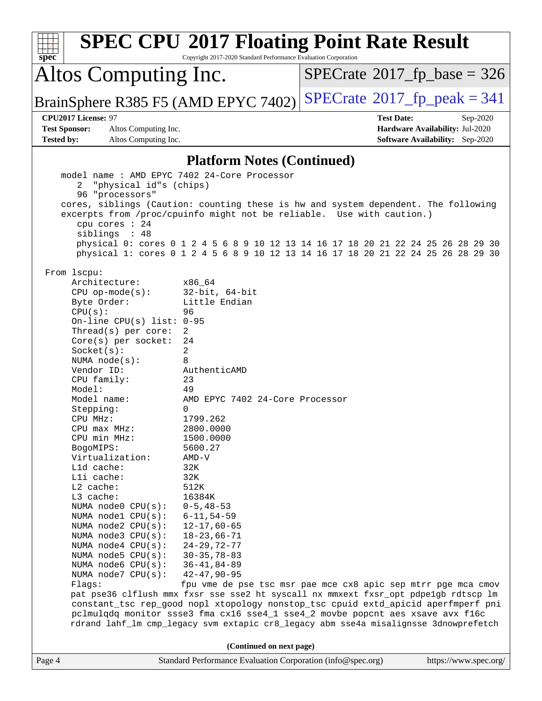| spec                                                                                                                                                                                                                                                                                                                                                                                                                                                                                                                                                                                                   | <b>SPEC CPU®2017 Floating Point Rate Result</b><br>Copyright 2017-2020 Standard Performance Evaluation Corporation                                                                                                                                                                                                                                                                                                                                                                                                                                                                                                                                                                                                                                   |                                      |                                        |
|--------------------------------------------------------------------------------------------------------------------------------------------------------------------------------------------------------------------------------------------------------------------------------------------------------------------------------------------------------------------------------------------------------------------------------------------------------------------------------------------------------------------------------------------------------------------------------------------------------|------------------------------------------------------------------------------------------------------------------------------------------------------------------------------------------------------------------------------------------------------------------------------------------------------------------------------------------------------------------------------------------------------------------------------------------------------------------------------------------------------------------------------------------------------------------------------------------------------------------------------------------------------------------------------------------------------------------------------------------------------|--------------------------------------|----------------------------------------|
| Altos Computing Inc.                                                                                                                                                                                                                                                                                                                                                                                                                                                                                                                                                                                   |                                                                                                                                                                                                                                                                                                                                                                                                                                                                                                                                                                                                                                                                                                                                                      | $SPECrate^{\circ}2017$ [p base = 326 |                                        |
| BrainSphere R385 F5 (AMD EPYC 7402)                                                                                                                                                                                                                                                                                                                                                                                                                                                                                                                                                                    |                                                                                                                                                                                                                                                                                                                                                                                                                                                                                                                                                                                                                                                                                                                                                      | $SPECTate@2017_fp\_peak = 341$       |                                        |
| CPU2017 License: 97                                                                                                                                                                                                                                                                                                                                                                                                                                                                                                                                                                                    |                                                                                                                                                                                                                                                                                                                                                                                                                                                                                                                                                                                                                                                                                                                                                      | <b>Test Date:</b>                    | Sep-2020                               |
| <b>Test Sponsor:</b><br>Altos Computing Inc.                                                                                                                                                                                                                                                                                                                                                                                                                                                                                                                                                           |                                                                                                                                                                                                                                                                                                                                                                                                                                                                                                                                                                                                                                                                                                                                                      | Hardware Availability: Jul-2020      |                                        |
| <b>Tested by:</b><br>Altos Computing Inc.                                                                                                                                                                                                                                                                                                                                                                                                                                                                                                                                                              |                                                                                                                                                                                                                                                                                                                                                                                                                                                                                                                                                                                                                                                                                                                                                      |                                      | <b>Software Availability:</b> Sep-2020 |
|                                                                                                                                                                                                                                                                                                                                                                                                                                                                                                                                                                                                        | <b>Platform Notes (Continued)</b>                                                                                                                                                                                                                                                                                                                                                                                                                                                                                                                                                                                                                                                                                                                    |                                      |                                        |
| "physical id"s (chips)<br>2<br>96 "processors"                                                                                                                                                                                                                                                                                                                                                                                                                                                                                                                                                         | model name: AMD EPYC 7402 24-Core Processor<br>cores, siblings (Caution: counting these is hw and system dependent. The following<br>excerpts from /proc/cpuinfo might not be reliable. Use with caution.)                                                                                                                                                                                                                                                                                                                                                                                                                                                                                                                                           |                                      |                                        |
| cpu cores : 24                                                                                                                                                                                                                                                                                                                                                                                                                                                                                                                                                                                         |                                                                                                                                                                                                                                                                                                                                                                                                                                                                                                                                                                                                                                                                                                                                                      |                                      |                                        |
| siblings : 48                                                                                                                                                                                                                                                                                                                                                                                                                                                                                                                                                                                          | physical 0: cores 0 1 2 4 5 6 8 9 10 12 13 14 16 17 18 20 21 22 24 25 26 28 29 30                                                                                                                                                                                                                                                                                                                                                                                                                                                                                                                                                                                                                                                                    |                                      |                                        |
|                                                                                                                                                                                                                                                                                                                                                                                                                                                                                                                                                                                                        | physical 1: cores 0 1 2 4 5 6 8 9 10 12 13 14 16 17 18 20 21 22 24 25 26 28 29 30                                                                                                                                                                                                                                                                                                                                                                                                                                                                                                                                                                                                                                                                    |                                      |                                        |
| From 1scpu:<br>Architecture:<br>$CPU$ op-mode( $s$ ):<br>Byte Order:<br>CPU(s):<br>On-line CPU(s) list: $0-95$<br>Thread(s) per core:<br>$Core(s)$ per socket:<br>Socket(s):<br>NUMA $node(s):$<br>Vendor ID:<br>CPU family:<br>Model:<br>Model name:<br>Stepping:<br>CPU MHz:<br>CPU max MHz:<br>CPU min MHz:<br>BogoMIPS:<br>Virtualization:<br>Lld cache:<br>Lli cache:<br>L2 cache:<br>L3 cache:<br>NUMA node0 CPU(s):<br>NUMA node1 CPU(s):<br>NUMA node2 CPU(s):<br>NUMA node3 CPU(s):<br>NUMA $node4$ $CPU(s):$<br>NUMA $node5$ $CPU(s):$<br>NUMA node6 CPU(s):<br>NUMA node7 CPU(s):<br>Flags: | x86 64<br>$32$ -bit, $64$ -bit<br>Little Endian<br>96<br>2<br>24<br>2<br>8<br>AuthenticAMD<br>23<br>49<br>AMD EPYC 7402 24-Core Processor<br>0<br>1799.262<br>2800.0000<br>1500.0000<br>5600.27<br>$AMD-V$<br>32K<br>32K<br>512K<br>16384K<br>$0 - 5, 48 - 53$<br>$6 - 11, 54 - 59$<br>$12 - 17,60 - 65$<br>$18 - 23,66 - 71$<br>$24 - 29, 72 - 77$<br>$30 - 35, 78 - 83$<br>$36 - 41, 84 - 89$<br>$42 - 47, 90 - 95$<br>fpu vme de pse tsc msr pae mce cx8 apic sep mtrr pge mca cmov<br>pat pse36 clflush mmx fxsr sse sse2 ht syscall nx mmxext fxsr_opt pdpe1gb rdtscp lm<br>constant_tsc rep_good nopl xtopology nonstop_tsc cpuid extd_apicid aperfmperf pni<br>pclmulqdq monitor ssse3 fma cx16 sse4_1 sse4_2 movbe popcnt aes xsave avx f16c |                                      |                                        |
|                                                                                                                                                                                                                                                                                                                                                                                                                                                                                                                                                                                                        | rdrand lahf_lm cmp_legacy svm extapic cr8_legacy abm sse4a misalignsse 3dnowprefetch                                                                                                                                                                                                                                                                                                                                                                                                                                                                                                                                                                                                                                                                 |                                      |                                        |
| Page 4                                                                                                                                                                                                                                                                                                                                                                                                                                                                                                                                                                                                 | (Continued on next page)<br>Standard Performance Evaluation Corporation (info@spec.org)                                                                                                                                                                                                                                                                                                                                                                                                                                                                                                                                                                                                                                                              |                                      | https://www.spec.org/                  |
|                                                                                                                                                                                                                                                                                                                                                                                                                                                                                                                                                                                                        |                                                                                                                                                                                                                                                                                                                                                                                                                                                                                                                                                                                                                                                                                                                                                      |                                      |                                        |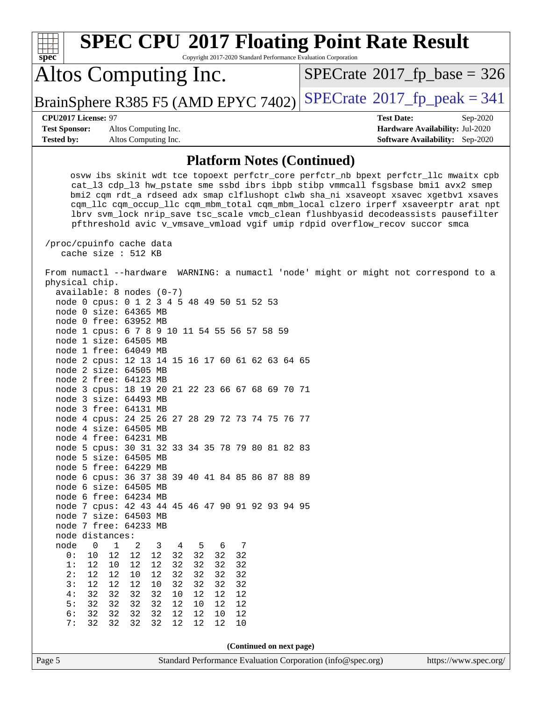| <b>SPEC CPU®2017 Floating Point Rate Result</b><br>Copyright 2017-2020 Standard Performance Evaluation Corporation<br>$spec^*$                                                                                                                                                                                                                                                                                                                                                                                                                                                                                                                                                                                                                                                                                                                                                                                                                                                                                                                                                                                                                                                                                                                                                                                               |                                                                                                            |
|------------------------------------------------------------------------------------------------------------------------------------------------------------------------------------------------------------------------------------------------------------------------------------------------------------------------------------------------------------------------------------------------------------------------------------------------------------------------------------------------------------------------------------------------------------------------------------------------------------------------------------------------------------------------------------------------------------------------------------------------------------------------------------------------------------------------------------------------------------------------------------------------------------------------------------------------------------------------------------------------------------------------------------------------------------------------------------------------------------------------------------------------------------------------------------------------------------------------------------------------------------------------------------------------------------------------------|------------------------------------------------------------------------------------------------------------|
| Altos Computing Inc.                                                                                                                                                                                                                                                                                                                                                                                                                                                                                                                                                                                                                                                                                                                                                                                                                                                                                                                                                                                                                                                                                                                                                                                                                                                                                                         | $SPECrate^{\circ}2017$ fp base = 326                                                                       |
| BrainSphere R385 F5 (AMD EPYC 7402)                                                                                                                                                                                                                                                                                                                                                                                                                                                                                                                                                                                                                                                                                                                                                                                                                                                                                                                                                                                                                                                                                                                                                                                                                                                                                          | $SPECTate$ <sup>®</sup> 2017_fp_peak = 341                                                                 |
| <b>CPU2017 License: 97</b><br><b>Test Sponsor:</b><br>Altos Computing Inc.<br><b>Tested by:</b><br>Altos Computing Inc.                                                                                                                                                                                                                                                                                                                                                                                                                                                                                                                                                                                                                                                                                                                                                                                                                                                                                                                                                                                                                                                                                                                                                                                                      | <b>Test Date:</b><br>Sep-2020<br>Hardware Availability: Jul-2020<br><b>Software Availability:</b> Sep-2020 |
| <b>Platform Notes (Continued)</b>                                                                                                                                                                                                                                                                                                                                                                                                                                                                                                                                                                                                                                                                                                                                                                                                                                                                                                                                                                                                                                                                                                                                                                                                                                                                                            |                                                                                                            |
| osvw ibs skinit wdt tce topoext perfctr_core perfctr_nb bpext perfctr_llc mwaitx cpb<br>cat_13 cdp_13 hw_pstate sme ssbd ibrs ibpb stibp vmmcall fsgsbase bmil avx2 smep<br>bmi2 cqm rdt_a rdseed adx smap clflushopt clwb sha_ni xsaveopt xsavec xgetbvl xsaves<br>cqm_llc cqm_occup_llc cqm_mbm_total cqm_mbm_local clzero irperf xsaveerptr arat npt<br>lbrv svm_lock nrip_save tsc_scale vmcb_clean flushbyasid decodeassists pausefilter<br>pfthreshold avic v_vmsave_vmload vgif umip rdpid overflow_recov succor smca<br>/proc/cpuinfo cache data<br>cache size : 512 KB                                                                                                                                                                                                                                                                                                                                                                                                                                                                                                                                                                                                                                                                                                                                              |                                                                                                            |
| From numactl --hardware WARNING: a numactl 'node' might or might not correspond to a<br>physical chip.<br>$available: 8 nodes (0-7)$<br>node 0 cpus: 0 1 2 3 4 5 48 49 50 51 52 53<br>node 0 size: 64365 MB<br>node 0 free: 63952 MB<br>node 1 cpus: 6 7 8 9 10 11 54 55 56 57 58 59<br>node 1 size: 64505 MB<br>node 1 free: 64049 MB<br>node 2 cpus: 12 13 14 15 16 17 60 61 62 63 64 65<br>node 2 size: 64505 MB<br>node 2 free: 64123 MB<br>node 3 cpus: 18 19 20 21 22 23 66 67 68 69 70 71<br>node 3 size: 64493 MB<br>node 3 free: 64131 MB<br>node 4 cpus: 24 25 26 27 28 29 72 73 74 75 76 77<br>node 4 size: 64505 MB<br>node 4 free: 64231 MB<br>node 5 cpus: 30 31 32 33 34 35 78 79 80 81 82 83<br>node 5 size: 64505 MB<br>node 5 free: 64229 MB<br>node 6 cpus: 36 37 38 39 40 41 84 85 86 87 88 89<br>node 6 size: 64505 MB<br>node 6 free: 64234 MB<br>node 7 cpus: 42 43 44 45 46 47 90 91 92 93 94 95<br>node 7 size: 64503 MB<br>node 7 free: 64233 MB<br>node distances:<br>node<br>1<br>5<br>0<br>2<br>3<br>4<br>6<br>7<br>32<br>12<br>12<br>32<br>32<br>32<br>0:<br>10<br>12<br>1:<br>32<br>32<br>32<br>12<br>10<br>12<br>12<br>32<br>2:<br>12<br>12<br>12<br>32<br>32<br>32<br>10<br>32<br>3:<br>12<br>12<br>32<br>32<br>12<br>10<br>32<br>32<br>32<br>32<br>4 :<br>32<br>32<br>10<br>12<br>12<br>12 |                                                                                                            |
| 5:<br>32<br>32<br>32<br>32<br>12<br>12<br>10<br>12<br>6:<br>32<br>32<br>32<br>32<br>12<br>12<br>12<br>10<br>7:<br>32<br>32<br>32<br>12<br>12<br>12<br>32<br>10                                                                                                                                                                                                                                                                                                                                                                                                                                                                                                                                                                                                                                                                                                                                                                                                                                                                                                                                                                                                                                                                                                                                                               |                                                                                                            |
| (Continued on next page)                                                                                                                                                                                                                                                                                                                                                                                                                                                                                                                                                                                                                                                                                                                                                                                                                                                                                                                                                                                                                                                                                                                                                                                                                                                                                                     |                                                                                                            |
| Standard Performance Evaluation Corporation (info@spec.org)<br>Page 5                                                                                                                                                                                                                                                                                                                                                                                                                                                                                                                                                                                                                                                                                                                                                                                                                                                                                                                                                                                                                                                                                                                                                                                                                                                        | https://www.spec.org/                                                                                      |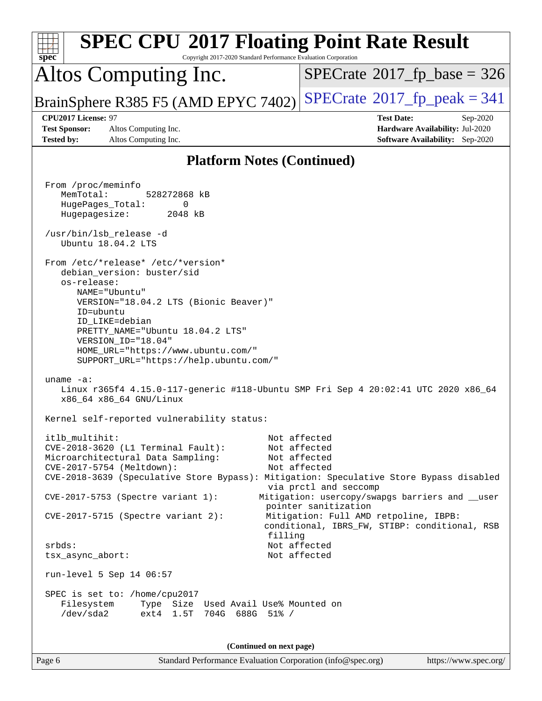| <b>SPEC CPU®2017 Floating Point Rate Result</b><br>Copyright 2017-2020 Standard Performance Evaluation Corporation<br>spec <sup>®</sup>                                                                                                                                                                                                                                                     |                                                                                                                                                                                                                                                                            |
|---------------------------------------------------------------------------------------------------------------------------------------------------------------------------------------------------------------------------------------------------------------------------------------------------------------------------------------------------------------------------------------------|----------------------------------------------------------------------------------------------------------------------------------------------------------------------------------------------------------------------------------------------------------------------------|
| Altos Computing Inc.                                                                                                                                                                                                                                                                                                                                                                        | $SPECrate^{\circ}2017$ fp base = 326                                                                                                                                                                                                                                       |
| BrainSphere R385 F5 (AMD EPYC 7402)                                                                                                                                                                                                                                                                                                                                                         | $SPECrate^{\circ}2017$ fp peak = 341                                                                                                                                                                                                                                       |
| CPU2017 License: 97<br><b>Test Sponsor:</b><br>Altos Computing Inc.<br><b>Tested by:</b><br>Altos Computing Inc.                                                                                                                                                                                                                                                                            | <b>Test Date:</b><br>Sep-2020<br>Hardware Availability: Jul-2020<br><b>Software Availability:</b> Sep-2020                                                                                                                                                                 |
| <b>Platform Notes (Continued)</b>                                                                                                                                                                                                                                                                                                                                                           |                                                                                                                                                                                                                                                                            |
| From /proc/meminfo<br>MemTotal:<br>528272868 kB<br>HugePages_Total:<br>0<br>Hugepagesize:<br>2048 kB<br>/usr/bin/lsb_release -d<br>Ubuntu 18.04.2 LTS<br>From /etc/*release* /etc/*version*<br>debian_version: buster/sid<br>os-release:<br>NAME="Ubuntu"<br>VERSION="18.04.2 LTS (Bionic Beaver)"<br>ID=ubuntu<br>ID LIKE=debian<br>PRETTY_NAME="Ubuntu 18.04.2 LTS"<br>VERSION_ID="18.04" |                                                                                                                                                                                                                                                                            |
| HOME_URL="https://www.ubuntu.com/"<br>SUPPORT_URL="https://help.ubuntu.com/"<br>uname $-a$ :<br>Linux r365f4 4.15.0-117-generic #118-Ubuntu SMP Fri Sep 4 20:02:41 UTC 2020 x86_64<br>x86_64 x86_64 GNU/Linux<br>Kernel self-reported vulnerability status:                                                                                                                                 |                                                                                                                                                                                                                                                                            |
| itlb multihit:<br>CVE-2018-3620 (L1 Terminal Fault):<br>Microarchitectural Data Sampling:<br>CVE-2017-5754 (Meltdown):<br>CVE-2018-3639 (Speculative Store Bypass): Mitigation: Speculative Store Bypass disabled<br>CVE-2017-5753 (Spectre variant 1):<br>CVE-2017-5715 (Spectre variant 2):<br>filling<br>srbds:                                                                          | Not affected<br>Not affected<br>Not affected<br>Not affected<br>via prctl and seccomp<br>Mitigation: usercopy/swapgs barriers and __user<br>pointer sanitization<br>Mitigation: Full AMD retpoline, IBPB:<br>conditional, IBRS_FW, STIBP: conditional, RSB<br>Not affected |
| tsx_async_abort:<br>run-level 5 Sep 14 06:57<br>SPEC is set to: /home/cpu2017                                                                                                                                                                                                                                                                                                               | Not affected                                                                                                                                                                                                                                                               |
| Filesystem<br>Type Size Used Avail Use% Mounted on<br>/dev/sda2<br>ext4 1.5T<br>704G 688G 51% /                                                                                                                                                                                                                                                                                             |                                                                                                                                                                                                                                                                            |
| (Continued on next page)                                                                                                                                                                                                                                                                                                                                                                    |                                                                                                                                                                                                                                                                            |
| Page 6<br>Standard Performance Evaluation Corporation (info@spec.org)                                                                                                                                                                                                                                                                                                                       | https://www.spec.org/                                                                                                                                                                                                                                                      |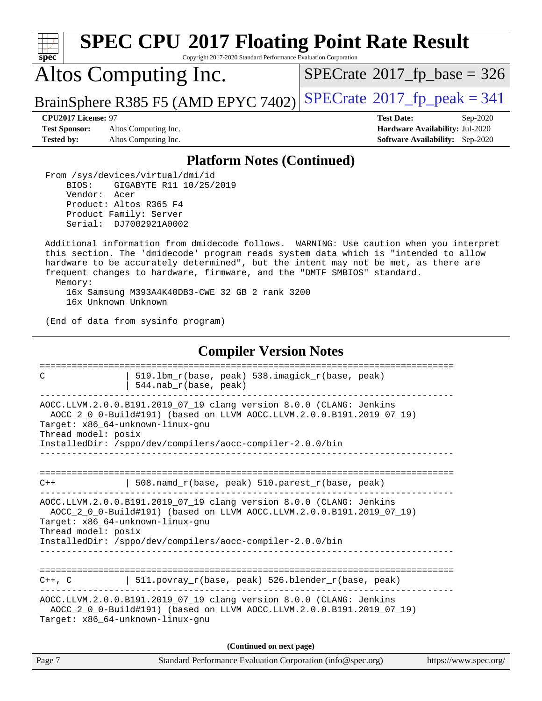| <b>SPEC CPU®2017 Floating Point Rate Result</b><br>Copyright 2017-2020 Standard Performance Evaluation Corporation<br>$spec^*$                                                                                                                                                                                                                                                                                                     |                                                                                                            |  |  |  |  |  |
|------------------------------------------------------------------------------------------------------------------------------------------------------------------------------------------------------------------------------------------------------------------------------------------------------------------------------------------------------------------------------------------------------------------------------------|------------------------------------------------------------------------------------------------------------|--|--|--|--|--|
| Altos Computing Inc.                                                                                                                                                                                                                                                                                                                                                                                                               | $SPECTate$ <sup>®</sup> 2017_fp_base = 326                                                                 |  |  |  |  |  |
| BrainSphere R385 F5 (AMD EPYC 7402)                                                                                                                                                                                                                                                                                                                                                                                                | $SPECrate^{\circledcirc}2017$ fp peak = 341                                                                |  |  |  |  |  |
| CPU2017 License: 97<br>Altos Computing Inc.<br><b>Test Sponsor:</b><br><b>Tested by:</b><br>Altos Computing Inc.                                                                                                                                                                                                                                                                                                                   | <b>Test Date:</b><br>Sep-2020<br>Hardware Availability: Jul-2020<br><b>Software Availability:</b> Sep-2020 |  |  |  |  |  |
| <b>Platform Notes (Continued)</b>                                                                                                                                                                                                                                                                                                                                                                                                  |                                                                                                            |  |  |  |  |  |
| From /sys/devices/virtual/dmi/id<br>BIOS:<br>GIGABYTE R11 10/25/2019<br>Vendor:<br>Acer<br>Product: Altos R365 F4<br>Product Family: Server<br>Serial: DJ7002921A0002                                                                                                                                                                                                                                                              |                                                                                                            |  |  |  |  |  |
| Additional information from dmidecode follows. WARNING: Use caution when you interpret<br>this section. The 'dmidecode' program reads system data which is "intended to allow<br>hardware to be accurately determined", but the intent may not be met, as there are<br>frequent changes to hardware, firmware, and the "DMTF SMBIOS" standard.<br>Memory:<br>16x Samsung M393A4K40DB3-CWE 32 GB 2 rank 3200<br>16x Unknown Unknown |                                                                                                            |  |  |  |  |  |
| (End of data from sysinfo program)                                                                                                                                                                                                                                                                                                                                                                                                 |                                                                                                            |  |  |  |  |  |
| <b>Compiler Version Notes</b>                                                                                                                                                                                                                                                                                                                                                                                                      |                                                                                                            |  |  |  |  |  |
| -------------------------<br>519.1bm_r(base, peak) 538.imagick_r(base, peak)<br>C<br>544.nab_r(base, peak)                                                                                                                                                                                                                                                                                                                         |                                                                                                            |  |  |  |  |  |
| AOCC.LLVM.2.0.0.B191.2019_07_19 clang version 8.0.0 (CLANG: Jenkins<br>AOCC_2_0_0-Build#191) (based on LLVM AOCC.LLVM.2.0.0.B191.2019_07_19)<br>Target: x86_64-unknown-linux-gnu<br>Thread model: posix<br>InstalledDir: /sppo/dev/compilers/aocc-compiler-2.0.0/bin                                                                                                                                                               |                                                                                                            |  |  |  |  |  |
| $508.namd_r(base, peak) 510.parest_r(base, peak)$<br>$C++$                                                                                                                                                                                                                                                                                                                                                                         |                                                                                                            |  |  |  |  |  |
| AOCC.LLVM.2.0.0.B191.2019_07_19 clang version 8.0.0 (CLANG: Jenkins<br>AOCC_2_0_0-Build#191) (based on LLVM AOCC.LLVM.2.0.0.B191.2019_07_19)<br>Target: x86_64-unknown-linux-gnu<br>Thread model: posix<br>InstalledDir: /sppo/dev/compilers/aocc-compiler-2.0.0/bin                                                                                                                                                               |                                                                                                            |  |  |  |  |  |
| $C++$ , C $\qquad$   511.povray_r(base, peak) 526.blender_r(base, peak)<br>AOCC.LLVM.2.0.0.B191.2019_07_19 clang version 8.0.0 (CLANG: Jenkins<br>AOCC_2_0_0-Build#191) (based on LLVM AOCC.LLVM.2.0.0.B191.2019_07_19)<br>Target: x86_64-unknown-linux-gnu                                                                                                                                                                        |                                                                                                            |  |  |  |  |  |
| (Continued on next page)                                                                                                                                                                                                                                                                                                                                                                                                           |                                                                                                            |  |  |  |  |  |
| Page 7<br>Standard Performance Evaluation Corporation (info@spec.org)                                                                                                                                                                                                                                                                                                                                                              | https://www.spec.org/                                                                                      |  |  |  |  |  |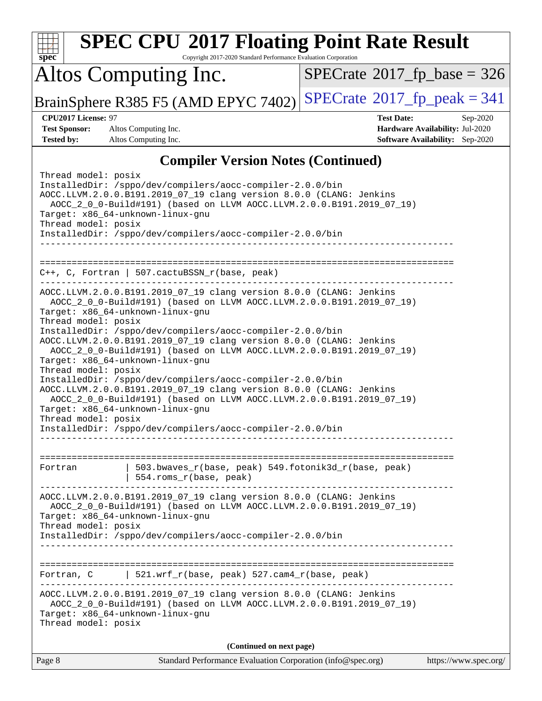|                                                                   | <b>SPEC CPU®2017 Floating Point Rate Result</b>                                                                                                                                                                                                                                                                                                                                                                                                                                                                                                                                                                                                                                                                                                 |                                            |                                                                                       |
|-------------------------------------------------------------------|-------------------------------------------------------------------------------------------------------------------------------------------------------------------------------------------------------------------------------------------------------------------------------------------------------------------------------------------------------------------------------------------------------------------------------------------------------------------------------------------------------------------------------------------------------------------------------------------------------------------------------------------------------------------------------------------------------------------------------------------------|--------------------------------------------|---------------------------------------------------------------------------------------|
| spec                                                              | Copyright 2017-2020 Standard Performance Evaluation Corporation                                                                                                                                                                                                                                                                                                                                                                                                                                                                                                                                                                                                                                                                                 |                                            |                                                                                       |
|                                                                   | Altos Computing Inc.                                                                                                                                                                                                                                                                                                                                                                                                                                                                                                                                                                                                                                                                                                                            | $SPECrate$ <sup>®</sup> 2017_fp_base = 326 |                                                                                       |
|                                                                   | BrainSphere R385 F5 (AMD EPYC 7402)                                                                                                                                                                                                                                                                                                                                                                                                                                                                                                                                                                                                                                                                                                             | $SPECrate^{\circ}2017$ _fp_peak = 341      |                                                                                       |
| CPU2017 License: 97<br><b>Test Sponsor:</b><br><b>Tested by:</b>  | Altos Computing Inc.<br>Altos Computing Inc.                                                                                                                                                                                                                                                                                                                                                                                                                                                                                                                                                                                                                                                                                                    | <b>Test Date:</b>                          | Sep-2020<br>Hardware Availability: Jul-2020<br><b>Software Availability:</b> Sep-2020 |
|                                                                   | <b>Compiler Version Notes (Continued)</b>                                                                                                                                                                                                                                                                                                                                                                                                                                                                                                                                                                                                                                                                                                       |                                            |                                                                                       |
| Thread model: posix<br>Thread model: posix                        | InstalledDir: /sppo/dev/compilers/aocc-compiler-2.0.0/bin<br>AOCC.LLVM.2.0.0.B191.2019_07_19 clang version 8.0.0 (CLANG: Jenkins<br>AOCC_2_0_0-Build#191) (based on LLVM AOCC.LLVM.2.0.0.B191.2019_07_19)<br>Target: x86_64-unknown-linux-gnu<br>InstalledDir: /sppo/dev/compilers/aocc-compiler-2.0.0/bin                                                                                                                                                                                                                                                                                                                                                                                                                                      |                                            |                                                                                       |
| ==============================                                    | C++, C, Fortran   507.cactuBSSN_r(base, peak)                                                                                                                                                                                                                                                                                                                                                                                                                                                                                                                                                                                                                                                                                                   |                                            |                                                                                       |
| Thread model: posix<br>Thread model: posix<br>Thread model: posix | AOCC.LLVM.2.0.0.B191.2019_07_19 clang version 8.0.0 (CLANG: Jenkins<br>AOCC_2_0_0-Build#191) (based on LLVM AOCC.LLVM.2.0.0.B191.2019_07_19)<br>Target: x86_64-unknown-linux-gnu<br>InstalledDir: /sppo/dev/compilers/aocc-compiler-2.0.0/bin<br>AOCC.LLVM.2.0.0.B191.2019_07_19 clang version 8.0.0 (CLANG: Jenkins<br>AOCC_2_0_0-Build#191) (based on LLVM AOCC.LLVM.2.0.0.B191.2019_07_19)<br>Target: x86_64-unknown-linux-gnu<br>InstalledDir: /sppo/dev/compilers/aocc-compiler-2.0.0/bin<br>AOCC.LLVM.2.0.0.B191.2019_07_19 clang version 8.0.0 (CLANG: Jenkins<br>AOCC_2_0_0-Build#191) (based on LLVM AOCC.LLVM.2.0.0.B191.2019_07_19)<br>Target: x86_64-unknown-linux-gnu<br>InstalledDir: /sppo/dev/compilers/aocc-compiler-2.0.0/bin |                                            |                                                                                       |
| Fortran                                                           | 503.bwaves_r(base, peak) 549.fotonik3d_r(base, peak)<br>554.roms_r(base, peak)                                                                                                                                                                                                                                                                                                                                                                                                                                                                                                                                                                                                                                                                  |                                            |                                                                                       |
| Thread model: posix                                               | AOCC.LLVM.2.0.0.B191.2019_07_19 clang version 8.0.0 (CLANG: Jenkins<br>AOCC_2_0_0-Build#191) (based on LLVM AOCC.LLVM.2.0.0.B191.2019_07_19)<br>Target: x86_64-unknown-linux-gnu<br>InstalledDir: /sppo/dev/compilers/aocc-compiler-2.0.0/bin                                                                                                                                                                                                                                                                                                                                                                                                                                                                                                   |                                            |                                                                                       |
|                                                                   |                                                                                                                                                                                                                                                                                                                                                                                                                                                                                                                                                                                                                                                                                                                                                 |                                            |                                                                                       |
| Fortran, C<br>Thread model: posix                                 | $521.wrf_r(base, peak) 527.cam4_r(base, peak)$<br>AOCC.LLVM.2.0.0.B191.2019_07_19 clang version 8.0.0 (CLANG: Jenkins<br>AOCC_2_0_0-Build#191) (based on LLVM AOCC.LLVM.2.0.0.B191.2019_07_19)<br>Target: x86_64-unknown-linux-gnu                                                                                                                                                                                                                                                                                                                                                                                                                                                                                                              |                                            |                                                                                       |
|                                                                   | (Continued on next page)                                                                                                                                                                                                                                                                                                                                                                                                                                                                                                                                                                                                                                                                                                                        |                                            |                                                                                       |
| Page 8                                                            | Standard Performance Evaluation Corporation (info@spec.org)                                                                                                                                                                                                                                                                                                                                                                                                                                                                                                                                                                                                                                                                                     |                                            | https://www.spec.org/                                                                 |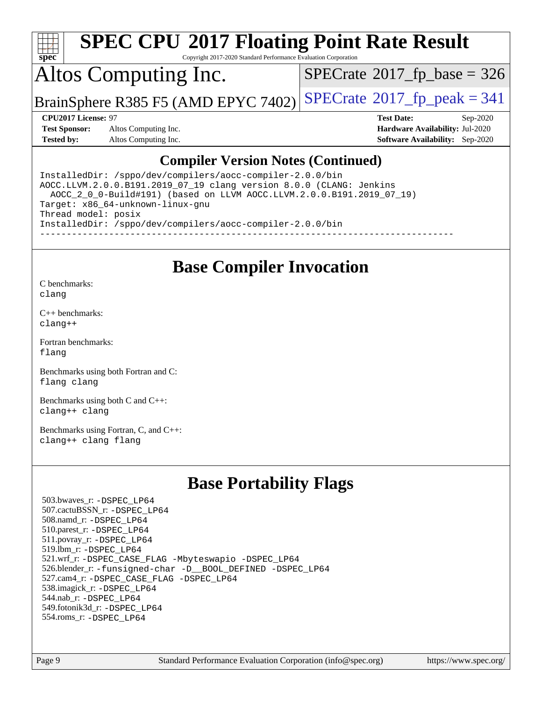

Copyright 2017-2020 Standard Performance Evaluation Corporation

## Altos Computing Inc.

 $SPECTate$ <sup>®</sup>[2017\\_fp\\_base =](http://www.spec.org/auto/cpu2017/Docs/result-fields.html#SPECrate2017fpbase) 326

BrainSphere R385 F5 (AMD EPYC 7402) [SPECrate](http://www.spec.org/auto/cpu2017/Docs/result-fields.html#SPECrate2017fppeak)®[2017\\_fp\\_peak = 3](http://www.spec.org/auto/cpu2017/Docs/result-fields.html#SPECrate2017fppeak)41

**[Test Sponsor:](http://www.spec.org/auto/cpu2017/Docs/result-fields.html#TestSponsor)** Altos Computing Inc. **[Hardware Availability:](http://www.spec.org/auto/cpu2017/Docs/result-fields.html#HardwareAvailability)** Jul-2020 **[Tested by:](http://www.spec.org/auto/cpu2017/Docs/result-fields.html#Testedby)** Altos Computing Inc. **[Software Availability:](http://www.spec.org/auto/cpu2017/Docs/result-fields.html#SoftwareAvailability)** Sep-2020

**[CPU2017 License:](http://www.spec.org/auto/cpu2017/Docs/result-fields.html#CPU2017License)** 97 **[Test Date:](http://www.spec.org/auto/cpu2017/Docs/result-fields.html#TestDate)** Sep-2020

#### **[Compiler Version Notes \(Continued\)](http://www.spec.org/auto/cpu2017/Docs/result-fields.html#CompilerVersionNotes)**

InstalledDir: /sppo/dev/compilers/aocc-compiler-2.0.0/bin AOCC.LLVM.2.0.0.B191.2019\_07\_19 clang version 8.0.0 (CLANG: Jenkins AOCC\_2\_0\_0-Build#191) (based on LLVM AOCC.LLVM.2.0.0.B191.2019\_07\_19) Target: x86\_64-unknown-linux-gnu Thread model: posix InstalledDir: /sppo/dev/compilers/aocc-compiler-2.0.0/bin ------------------------------------------------------------------------------

#### **[Base Compiler Invocation](http://www.spec.org/auto/cpu2017/Docs/result-fields.html#BaseCompilerInvocation)**

[C benchmarks](http://www.spec.org/auto/cpu2017/Docs/result-fields.html#Cbenchmarks): [clang](http://www.spec.org/cpu2017/results/res2020q4/cpu2017-20201012-24193.flags.html#user_CCbase_clang-c)

[C++ benchmarks:](http://www.spec.org/auto/cpu2017/Docs/result-fields.html#CXXbenchmarks) [clang++](http://www.spec.org/cpu2017/results/res2020q4/cpu2017-20201012-24193.flags.html#user_CXXbase_clang-cpp)

[Fortran benchmarks](http://www.spec.org/auto/cpu2017/Docs/result-fields.html#Fortranbenchmarks): [flang](http://www.spec.org/cpu2017/results/res2020q4/cpu2017-20201012-24193.flags.html#user_FCbase_flang)

[Benchmarks using both Fortran and C](http://www.spec.org/auto/cpu2017/Docs/result-fields.html#BenchmarksusingbothFortranandC): [flang](http://www.spec.org/cpu2017/results/res2020q4/cpu2017-20201012-24193.flags.html#user_CC_FCbase_flang) [clang](http://www.spec.org/cpu2017/results/res2020q4/cpu2017-20201012-24193.flags.html#user_CC_FCbase_clang-c)

[Benchmarks using both C and C++](http://www.spec.org/auto/cpu2017/Docs/result-fields.html#BenchmarksusingbothCandCXX): [clang++](http://www.spec.org/cpu2017/results/res2020q4/cpu2017-20201012-24193.flags.html#user_CC_CXXbase_clang-cpp) [clang](http://www.spec.org/cpu2017/results/res2020q4/cpu2017-20201012-24193.flags.html#user_CC_CXXbase_clang-c)

[Benchmarks using Fortran, C, and C++:](http://www.spec.org/auto/cpu2017/Docs/result-fields.html#BenchmarksusingFortranCandCXX) [clang++](http://www.spec.org/cpu2017/results/res2020q4/cpu2017-20201012-24193.flags.html#user_CC_CXX_FCbase_clang-cpp) [clang](http://www.spec.org/cpu2017/results/res2020q4/cpu2017-20201012-24193.flags.html#user_CC_CXX_FCbase_clang-c) [flang](http://www.spec.org/cpu2017/results/res2020q4/cpu2017-20201012-24193.flags.html#user_CC_CXX_FCbase_flang)

### **[Base Portability Flags](http://www.spec.org/auto/cpu2017/Docs/result-fields.html#BasePortabilityFlags)**

 503.bwaves\_r: [-DSPEC\\_LP64](http://www.spec.org/cpu2017/results/res2020q4/cpu2017-20201012-24193.flags.html#suite_baseEXTRA_PORTABILITY503_bwaves_r_DSPEC_LP64) 507.cactuBSSN\_r: [-DSPEC\\_LP64](http://www.spec.org/cpu2017/results/res2020q4/cpu2017-20201012-24193.flags.html#suite_baseEXTRA_PORTABILITY507_cactuBSSN_r_DSPEC_LP64) 508.namd\_r: [-DSPEC\\_LP64](http://www.spec.org/cpu2017/results/res2020q4/cpu2017-20201012-24193.flags.html#suite_baseEXTRA_PORTABILITY508_namd_r_DSPEC_LP64) 510.parest\_r: [-DSPEC\\_LP64](http://www.spec.org/cpu2017/results/res2020q4/cpu2017-20201012-24193.flags.html#suite_baseEXTRA_PORTABILITY510_parest_r_DSPEC_LP64) 511.povray\_r: [-DSPEC\\_LP64](http://www.spec.org/cpu2017/results/res2020q4/cpu2017-20201012-24193.flags.html#suite_baseEXTRA_PORTABILITY511_povray_r_DSPEC_LP64) 519.lbm\_r: [-DSPEC\\_LP64](http://www.spec.org/cpu2017/results/res2020q4/cpu2017-20201012-24193.flags.html#suite_baseEXTRA_PORTABILITY519_lbm_r_DSPEC_LP64) 521.wrf\_r: [-DSPEC\\_CASE\\_FLAG](http://www.spec.org/cpu2017/results/res2020q4/cpu2017-20201012-24193.flags.html#b521.wrf_r_baseCPORTABILITY_DSPEC_CASE_FLAG) [-Mbyteswapio](http://www.spec.org/cpu2017/results/res2020q4/cpu2017-20201012-24193.flags.html#user_baseFPORTABILITY521_wrf_r_F-mbyteswapio_543c39ce38db59bcbc3b888917ef58c313007ae1c27520b689e012995ae261114051d1d5efcb4182d175ce22a6a15532d3a9999882dd2c360e6d853f41da6883) [-DSPEC\\_LP64](http://www.spec.org/cpu2017/results/res2020q4/cpu2017-20201012-24193.flags.html#suite_baseEXTRA_PORTABILITY521_wrf_r_DSPEC_LP64) 526.blender\_r: [-funsigned-char](http://www.spec.org/cpu2017/results/res2020q4/cpu2017-20201012-24193.flags.html#user_baseCPORTABILITY526_blender_r_aocc-unsigned-char) [-D\\_\\_BOOL\\_DEFINED](http://www.spec.org/cpu2017/results/res2020q4/cpu2017-20201012-24193.flags.html#b526.blender_r_baseCXXPORTABILITY_D__BOOL_DEFINED) [-DSPEC\\_LP64](http://www.spec.org/cpu2017/results/res2020q4/cpu2017-20201012-24193.flags.html#suite_baseEXTRA_PORTABILITY526_blender_r_DSPEC_LP64) 527.cam4\_r: [-DSPEC\\_CASE\\_FLAG](http://www.spec.org/cpu2017/results/res2020q4/cpu2017-20201012-24193.flags.html#b527.cam4_r_basePORTABILITY_DSPEC_CASE_FLAG) [-DSPEC\\_LP64](http://www.spec.org/cpu2017/results/res2020q4/cpu2017-20201012-24193.flags.html#suite_baseEXTRA_PORTABILITY527_cam4_r_DSPEC_LP64) 538.imagick\_r: [-DSPEC\\_LP64](http://www.spec.org/cpu2017/results/res2020q4/cpu2017-20201012-24193.flags.html#suite_baseEXTRA_PORTABILITY538_imagick_r_DSPEC_LP64) 544.nab\_r: [-DSPEC\\_LP64](http://www.spec.org/cpu2017/results/res2020q4/cpu2017-20201012-24193.flags.html#suite_baseEXTRA_PORTABILITY544_nab_r_DSPEC_LP64) 549.fotonik3d\_r: [-DSPEC\\_LP64](http://www.spec.org/cpu2017/results/res2020q4/cpu2017-20201012-24193.flags.html#suite_baseEXTRA_PORTABILITY549_fotonik3d_r_DSPEC_LP64) 554.roms\_r: [-DSPEC\\_LP64](http://www.spec.org/cpu2017/results/res2020q4/cpu2017-20201012-24193.flags.html#suite_baseEXTRA_PORTABILITY554_roms_r_DSPEC_LP64)

Page 9 Standard Performance Evaluation Corporation [\(info@spec.org\)](mailto:info@spec.org) <https://www.spec.org/>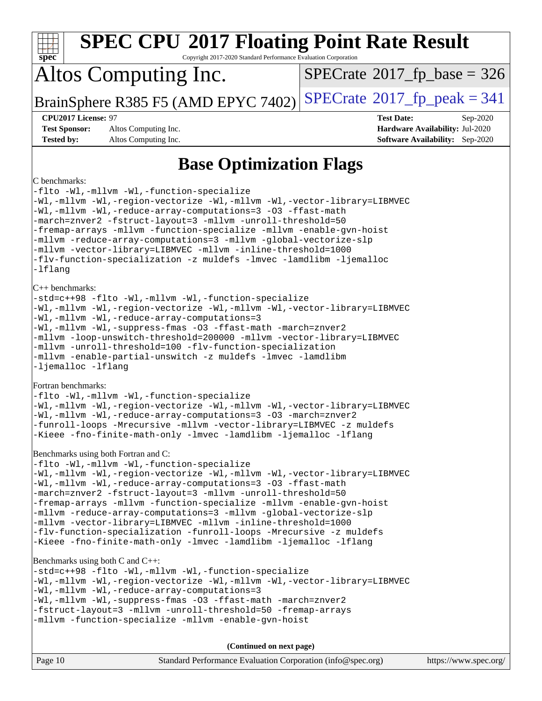| <b>SPEC CPU®2017 Floating Point Rate Result</b><br>$spec^*$<br>Copyright 2017-2020 Standard Performance Evaluation Corporation                                                                                                                                                                                                                                                                                                                                                                                                                                                                                                                  |                                                                                                            |  |  |  |  |  |  |
|-------------------------------------------------------------------------------------------------------------------------------------------------------------------------------------------------------------------------------------------------------------------------------------------------------------------------------------------------------------------------------------------------------------------------------------------------------------------------------------------------------------------------------------------------------------------------------------------------------------------------------------------------|------------------------------------------------------------------------------------------------------------|--|--|--|--|--|--|
| Altos Computing Inc.                                                                                                                                                                                                                                                                                                                                                                                                                                                                                                                                                                                                                            | $SPECrate^{\circ}2017$ [p base = 326                                                                       |  |  |  |  |  |  |
| BrainSphere R385 F5 (AMD EPYC 7402)                                                                                                                                                                                                                                                                                                                                                                                                                                                                                                                                                                                                             | $SPECrate^{\circledast}2017$ [p_peak = 341                                                                 |  |  |  |  |  |  |
| <b>CPU2017 License: 97</b><br><b>Test Sponsor:</b><br>Altos Computing Inc.<br><b>Tested by:</b><br>Altos Computing Inc.                                                                                                                                                                                                                                                                                                                                                                                                                                                                                                                         | <b>Test Date:</b><br>Sep-2020<br>Hardware Availability: Jul-2020<br><b>Software Availability:</b> Sep-2020 |  |  |  |  |  |  |
| <b>Base Optimization Flags</b>                                                                                                                                                                                                                                                                                                                                                                                                                                                                                                                                                                                                                  |                                                                                                            |  |  |  |  |  |  |
| C benchmarks:<br>-flto -Wl,-mllvm -Wl,-function-specialize<br>-Wl,-mllvm -Wl,-region-vectorize -Wl,-mllvm -Wl,-vector-library=LIBMVEC<br>-Wl,-mllvm -Wl,-reduce-array-computations=3 -03 -ffast-math<br>-march=znver2 -fstruct-layout=3 -mllvm -unroll-threshold=50<br>-fremap-arrays -mllvm -function-specialize -mllvm -enable-gvn-hoist<br>-mllvm -reduce-array-computations=3 -mllvm -global-vectorize-slp<br>-mllvm -vector-library=LIBMVEC -mllvm -inline-threshold=1000<br>-flv-function-specialization -z muldefs -lmvec -lamdlibm -ljemalloc<br>-lflang                                                                                |                                                                                                            |  |  |  |  |  |  |
| $C++$ benchmarks:<br>-std=c++98 -flto -Wl,-mllvm -Wl,-function-specialize<br>-Wl,-mllvm -Wl,-region-vectorize -Wl,-mllvm -Wl,-vector-library=LIBMVEC<br>-Wl,-mllvm -Wl,-reduce-array-computations=3<br>-Wl,-mllvm -Wl,-suppress-fmas -O3 -ffast-math -march=znver2<br>-mllvm -loop-unswitch-threshold=200000 -mllvm -vector-library=LIBMVEC<br>-mllvm -unroll-threshold=100 -flv-function-specialization<br>-mllvm -enable-partial-unswitch -z muldefs -lmvec -lamdlibm<br>-ljemalloc -lflang                                                                                                                                                   |                                                                                                            |  |  |  |  |  |  |
| Fortran benchmarks:<br>-flto -Wl,-mllvm -Wl,-function-specialize<br>-Wl,-mllvm -Wl,-region-vectorize -Wl,-mllvm -Wl,-vector-library=LIBMVEC<br>-Wl,-mllvm -Wl,-reduce-array-computations=3 -03 -march=znver2<br>-funroll-loops -Mrecursive -mllvm -vector-library=LIBMVEC -z muldefs<br>-Kieee -fno-finite-math-only -lmvec -lamdlibm -ljemalloc -lflang                                                                                                                                                                                                                                                                                        |                                                                                                            |  |  |  |  |  |  |
| Benchmarks using both Fortran and C:<br>-flto -Wl,-mllvm -Wl,-function-specialize<br>-Wl,-mllvm -Wl,-region-vectorize -Wl,-mllvm -Wl,-vector-library=LIBMVEC<br>-Wl,-mllvm -Wl,-reduce-array-computations=3 -03 -ffast-math<br>-march=znver2 -fstruct-layout=3 -mllvm -unroll-threshold=50<br>-fremap-arrays -mllvm -function-specialize -mllvm -enable-gvn-hoist<br>-mllvm -reduce-array-computations=3 -mllvm -global-vectorize-slp<br>-mllvm -vector-library=LIBMVEC -mllvm -inline-threshold=1000<br>-flv-function-specialization -funroll-loops -Mrecursive -z muldefs<br>-Kieee -fno-finite-math-only -lmvec -lamdlibm -ljemalloc -lflang |                                                                                                            |  |  |  |  |  |  |
| Benchmarks using both C and C++:<br>-std=c++98 -flto -Wl,-mllvm -Wl,-function-specialize<br>-Wl,-mllvm -Wl,-region-vectorize -Wl,-mllvm -Wl,-vector-library=LIBMVEC<br>-Wl,-mllvm -Wl,-reduce-array-computations=3<br>-Wl,-mllvm -Wl,-suppress-fmas -O3 -ffast-math -march=znver2<br>-fstruct-layout=3 -mllvm -unroll-threshold=50 -fremap-arrays<br>-mllvm -function-specialize -mllvm -enable-gvn-hoist                                                                                                                                                                                                                                       |                                                                                                            |  |  |  |  |  |  |
| (Continued on next page)                                                                                                                                                                                                                                                                                                                                                                                                                                                                                                                                                                                                                        |                                                                                                            |  |  |  |  |  |  |
| Page 10<br>Standard Performance Evaluation Corporation (info@spec.org)                                                                                                                                                                                                                                                                                                                                                                                                                                                                                                                                                                          | https://www.spec.org/                                                                                      |  |  |  |  |  |  |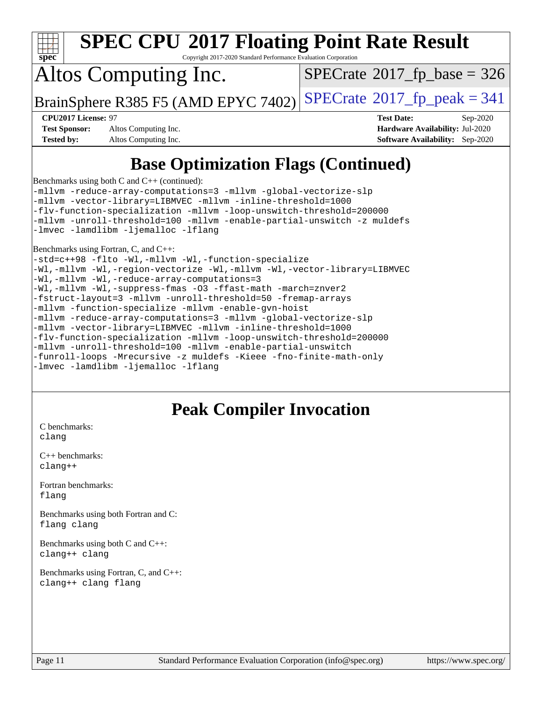

Copyright 2017-2020 Standard Performance Evaluation Corporation

## Altos Computing Inc.

 $SPECTate$ <sup>®</sup>[2017\\_fp\\_base =](http://www.spec.org/auto/cpu2017/Docs/result-fields.html#SPECrate2017fpbase) 326

BrainSphere R385 F5 (AMD EPYC 7402) [SPECrate](http://www.spec.org/auto/cpu2017/Docs/result-fields.html#SPECrate2017fppeak)®[2017\\_fp\\_peak = 3](http://www.spec.org/auto/cpu2017/Docs/result-fields.html#SPECrate2017fppeak)41

**[Test Sponsor:](http://www.spec.org/auto/cpu2017/Docs/result-fields.html#TestSponsor)** Altos Computing Inc. **[Hardware Availability:](http://www.spec.org/auto/cpu2017/Docs/result-fields.html#HardwareAvailability)** Jul-2020 **[Tested by:](http://www.spec.org/auto/cpu2017/Docs/result-fields.html#Testedby)** Altos Computing Inc. **[Software Availability:](http://www.spec.org/auto/cpu2017/Docs/result-fields.html#SoftwareAvailability)** Sep-2020

**[CPU2017 License:](http://www.spec.org/auto/cpu2017/Docs/result-fields.html#CPU2017License)** 97 **[Test Date:](http://www.spec.org/auto/cpu2017/Docs/result-fields.html#TestDate)** Sep-2020

### **[Base Optimization Flags \(Continued\)](http://www.spec.org/auto/cpu2017/Docs/result-fields.html#BaseOptimizationFlags)**

[Benchmarks using both C and C++](http://www.spec.org/auto/cpu2017/Docs/result-fields.html#BenchmarksusingbothCandCXX) (continued):

[-mllvm -reduce-array-computations=3](http://www.spec.org/cpu2017/results/res2020q4/cpu2017-20201012-24193.flags.html#user_CC_CXXbase_F-reduce-array-computations_aceadb8604558b566e0e3a0d7a3c1533923dd1fa0889614e16288028922629a28d5695c24d3b3be4306b1e311c54317dfffe3a2e57fbcaabc737a1798de39145) [-mllvm -global-vectorize-slp](http://www.spec.org/cpu2017/results/res2020q4/cpu2017-20201012-24193.flags.html#user_CC_CXXbase_F-global-vectorize-slp_a3935e8627af4ced727033b1ffd4db27f4d541a363d28d82bf4c2925fb3a0fd4115d6e42d13a2829f9e024d6608eb67a85cb49770f2da5c5ac8dbc737afad603) [-mllvm -vector-library=LIBMVEC](http://www.spec.org/cpu2017/results/res2020q4/cpu2017-20201012-24193.flags.html#user_CC_CXXbase_F-use-vector-library_e584e20b4f7ec96aa109254b65d8e01d864f3d68580371b9d93ed7c338191d4cfce20c3c864632264effc6bbe4c7c38153d02096a342ee92501c4a53204a7871) [-mllvm -inline-threshold=1000](http://www.spec.org/cpu2017/results/res2020q4/cpu2017-20201012-24193.flags.html#user_CC_CXXbase_dragonegg-llvm-inline-threshold_b7832241b0a6397e4ecdbaf0eb7defdc10f885c2a282fa3240fdc99844d543fda39cf8a4a9dccf68cf19b5438ac3b455264f478df15da0f4988afa40d8243bab) [-flv-function-specialization](http://www.spec.org/cpu2017/results/res2020q4/cpu2017-20201012-24193.flags.html#user_CC_CXXbase_F-flv-function-specialization) [-mllvm -loop-unswitch-threshold=200000](http://www.spec.org/cpu2017/results/res2020q4/cpu2017-20201012-24193.flags.html#user_CC_CXXbase_F-loop-unswitch-threshold_f9a82ae3270e55b5fbf79d0d96ee93606b73edbbe527d20b18b7bff1a3a146ad50cfc7454c5297978340ae9213029016a7d16221274d672d3f7f42ed25274e1d) [-mllvm -unroll-threshold=100](http://www.spec.org/cpu2017/results/res2020q4/cpu2017-20201012-24193.flags.html#user_CC_CXXbase_F-unroll-threshold_2755d0c78138845d361fa1543e3a063fffa198df9b3edf0cfb856bbc88a81e1769b12ac7a550c5d35197be55360db1a3f95a8d1304df999456cabf5120c45168) [-mllvm -enable-partial-unswitch](http://www.spec.org/cpu2017/results/res2020q4/cpu2017-20201012-24193.flags.html#user_CC_CXXbase_F-enable-partial-unswitch_6e1c33f981d77963b1eaf834973128a7f33ce3f8e27f54689656697a35e89dcc875281e0e6283d043e32f367dcb605ba0e307a92e830f7e326789fa6c61b35d3) [-z muldefs](http://www.spec.org/cpu2017/results/res2020q4/cpu2017-20201012-24193.flags.html#user_CC_CXXbase_aocc-muldefs) [-lmvec](http://www.spec.org/cpu2017/results/res2020q4/cpu2017-20201012-24193.flags.html#user_CC_CXXbase_F-lmvec) [-lamdlibm](http://www.spec.org/cpu2017/results/res2020q4/cpu2017-20201012-24193.flags.html#user_CC_CXXbase_F-lamdlibm) [-ljemalloc](http://www.spec.org/cpu2017/results/res2020q4/cpu2017-20201012-24193.flags.html#user_CC_CXXbase_jemalloc-lib) [-lflang](http://www.spec.org/cpu2017/results/res2020q4/cpu2017-20201012-24193.flags.html#user_CC_CXXbase_F-lflang)

[Benchmarks using Fortran, C, and C++:](http://www.spec.org/auto/cpu2017/Docs/result-fields.html#BenchmarksusingFortranCandCXX)

[-std=c++98](http://www.spec.org/cpu2017/results/res2020q4/cpu2017-20201012-24193.flags.html#user_CC_CXX_FCbase_std-cpp) [-flto](http://www.spec.org/cpu2017/results/res2020q4/cpu2017-20201012-24193.flags.html#user_CC_CXX_FCbase_aocc-flto) [-Wl,-mllvm -Wl,-function-specialize](http://www.spec.org/cpu2017/results/res2020q4/cpu2017-20201012-24193.flags.html#user_CC_CXX_FCbase_F-function-specialize_7e7e661e57922243ee67c9a1251cb8910e607325179a0ce7f2884e09a6f5d4a5ef0ae4f37e8a2a11c95fc48e931f06dc2b6016f14b511fcb441e048bef1b065a) [-Wl,-mllvm -Wl,-region-vectorize](http://www.spec.org/cpu2017/results/res2020q4/cpu2017-20201012-24193.flags.html#user_CC_CXX_FCbase_F-region-vectorize_fb6c6b5aa293c88efc6c7c2b52b20755e943585b1fe8658c35afef78727fff56e1a56891413c30e36b8e2a6f9a71126986319243e80eb6110b78b288f533c52b) [-Wl,-mllvm -Wl,-vector-library=LIBMVEC](http://www.spec.org/cpu2017/results/res2020q4/cpu2017-20201012-24193.flags.html#user_CC_CXX_FCbase_F-use-vector-library_0a14b27fae317f283640384a31f7bfcc2bd4c1d0b5cfc618a3a430800c9b20217b00f61303eff223a3251b4f06ffbc9739dc5296db9d1fbb9ad24a3939d86d66) [-Wl,-mllvm -Wl,-reduce-array-computations=3](http://www.spec.org/cpu2017/results/res2020q4/cpu2017-20201012-24193.flags.html#user_CC_CXX_FCbase_F-reduce-array-computations_b882aefe7a5dda4e33149f6299762b9a720dace3e498e13756f4c04e5a19edf5315c1f3993de2e61ec41e8c206231f84e05da7040e1bb5d69ba27d10a12507e4) [-Wl,-mllvm -Wl,-suppress-fmas](http://www.spec.org/cpu2017/results/res2020q4/cpu2017-20201012-24193.flags.html#user_CC_CXX_FCbase_F-suppress-fmas_f00f00630e4a059e8af9c161e9bbf420bcf19890a7f99d5933525e66aa4b0bb3ab2339d2b12d97d3a5f5d271e839fe9c109938e91fe06230fb53651590cfa1e8) [-O3](http://www.spec.org/cpu2017/results/res2020q4/cpu2017-20201012-24193.flags.html#user_CC_CXX_FCbase_F-O3) [-ffast-math](http://www.spec.org/cpu2017/results/res2020q4/cpu2017-20201012-24193.flags.html#user_CC_CXX_FCbase_aocc-ffast-math) [-march=znver2](http://www.spec.org/cpu2017/results/res2020q4/cpu2017-20201012-24193.flags.html#user_CC_CXX_FCbase_aocc-march_3e2e19cff2eeef60c5d90b059483627c9ea47eca6d66670dbd53f9185f6439e27eb5e104cf773e9e8ab18c8842ce63e461a3e948d0214bd567ef3ade411bf467) [-fstruct-layout=3](http://www.spec.org/cpu2017/results/res2020q4/cpu2017-20201012-24193.flags.html#user_CC_CXX_FCbase_F-struct-layout) [-mllvm -unroll-threshold=50](http://www.spec.org/cpu2017/results/res2020q4/cpu2017-20201012-24193.flags.html#user_CC_CXX_FCbase_F-unroll-threshold_458874500b2c105d6d5cb4d7a611c40e2b16e9e3d26b355fea72d644c3673b4de4b3932662f0ed3dbec75c491a13da2d2ca81180bd779dc531083ef1e1e549dc) [-fremap-arrays](http://www.spec.org/cpu2017/results/res2020q4/cpu2017-20201012-24193.flags.html#user_CC_CXX_FCbase_F-fremap-arrays) [-mllvm -function-specialize](http://www.spec.org/cpu2017/results/res2020q4/cpu2017-20201012-24193.flags.html#user_CC_CXX_FCbase_F-function-specialize_233b3bdba86027f1b094368157e481c5bc59f40286dc25bfadc1858dcd5745c24fd30d5f188710db7fea399bcc9f44a80b3ce3aacc70a8870250c3ae5e1f35b8) [-mllvm -enable-gvn-hoist](http://www.spec.org/cpu2017/results/res2020q4/cpu2017-20201012-24193.flags.html#user_CC_CXX_FCbase_F-enable-gvn-hoist_e5856354646dd6ca1333a0ad99b817e4cf8932b91b82809fd8fd47ceff7b22a89eba5c98fd3e3fa5200368fd772cec3dd56abc3c8f7b655a71b9f9848dddedd5) [-mllvm -reduce-array-computations=3](http://www.spec.org/cpu2017/results/res2020q4/cpu2017-20201012-24193.flags.html#user_CC_CXX_FCbase_F-reduce-array-computations_aceadb8604558b566e0e3a0d7a3c1533923dd1fa0889614e16288028922629a28d5695c24d3b3be4306b1e311c54317dfffe3a2e57fbcaabc737a1798de39145) [-mllvm -global-vectorize-slp](http://www.spec.org/cpu2017/results/res2020q4/cpu2017-20201012-24193.flags.html#user_CC_CXX_FCbase_F-global-vectorize-slp_a3935e8627af4ced727033b1ffd4db27f4d541a363d28d82bf4c2925fb3a0fd4115d6e42d13a2829f9e024d6608eb67a85cb49770f2da5c5ac8dbc737afad603) [-mllvm -vector-library=LIBMVEC](http://www.spec.org/cpu2017/results/res2020q4/cpu2017-20201012-24193.flags.html#user_CC_CXX_FCbase_F-use-vector-library_e584e20b4f7ec96aa109254b65d8e01d864f3d68580371b9d93ed7c338191d4cfce20c3c864632264effc6bbe4c7c38153d02096a342ee92501c4a53204a7871) [-mllvm -inline-threshold=1000](http://www.spec.org/cpu2017/results/res2020q4/cpu2017-20201012-24193.flags.html#user_CC_CXX_FCbase_dragonegg-llvm-inline-threshold_b7832241b0a6397e4ecdbaf0eb7defdc10f885c2a282fa3240fdc99844d543fda39cf8a4a9dccf68cf19b5438ac3b455264f478df15da0f4988afa40d8243bab) [-flv-function-specialization](http://www.spec.org/cpu2017/results/res2020q4/cpu2017-20201012-24193.flags.html#user_CC_CXX_FCbase_F-flv-function-specialization) [-mllvm -loop-unswitch-threshold=200000](http://www.spec.org/cpu2017/results/res2020q4/cpu2017-20201012-24193.flags.html#user_CC_CXX_FCbase_F-loop-unswitch-threshold_f9a82ae3270e55b5fbf79d0d96ee93606b73edbbe527d20b18b7bff1a3a146ad50cfc7454c5297978340ae9213029016a7d16221274d672d3f7f42ed25274e1d) [-mllvm -unroll-threshold=100](http://www.spec.org/cpu2017/results/res2020q4/cpu2017-20201012-24193.flags.html#user_CC_CXX_FCbase_F-unroll-threshold_2755d0c78138845d361fa1543e3a063fffa198df9b3edf0cfb856bbc88a81e1769b12ac7a550c5d35197be55360db1a3f95a8d1304df999456cabf5120c45168) [-mllvm -enable-partial-unswitch](http://www.spec.org/cpu2017/results/res2020q4/cpu2017-20201012-24193.flags.html#user_CC_CXX_FCbase_F-enable-partial-unswitch_6e1c33f981d77963b1eaf834973128a7f33ce3f8e27f54689656697a35e89dcc875281e0e6283d043e32f367dcb605ba0e307a92e830f7e326789fa6c61b35d3) [-funroll-loops](http://www.spec.org/cpu2017/results/res2020q4/cpu2017-20201012-24193.flags.html#user_CC_CXX_FCbase_aocc-unroll-loops) [-Mrecursive](http://www.spec.org/cpu2017/results/res2020q4/cpu2017-20201012-24193.flags.html#user_CC_CXX_FCbase_F-mrecursive_20a145d63f12d5750a899e17d4450b5b8b40330a9bb4af13688ca650e6fb30857bbbe44fb35cdbb895df6e5b2769de0a0d7659f51ff17acfbef6febafec4023f) [-z muldefs](http://www.spec.org/cpu2017/results/res2020q4/cpu2017-20201012-24193.flags.html#user_CC_CXX_FCbase_aocc-muldefs) [-Kieee](http://www.spec.org/cpu2017/results/res2020q4/cpu2017-20201012-24193.flags.html#user_CC_CXX_FCbase_F-kieee) [-fno-finite-math-only](http://www.spec.org/cpu2017/results/res2020q4/cpu2017-20201012-24193.flags.html#user_CC_CXX_FCbase_aocc-fno-finite-math-only) [-lmvec](http://www.spec.org/cpu2017/results/res2020q4/cpu2017-20201012-24193.flags.html#user_CC_CXX_FCbase_F-lmvec) [-lamdlibm](http://www.spec.org/cpu2017/results/res2020q4/cpu2017-20201012-24193.flags.html#user_CC_CXX_FCbase_F-lamdlibm) [-ljemalloc](http://www.spec.org/cpu2017/results/res2020q4/cpu2017-20201012-24193.flags.html#user_CC_CXX_FCbase_jemalloc-lib) [-lflang](http://www.spec.org/cpu2017/results/res2020q4/cpu2017-20201012-24193.flags.html#user_CC_CXX_FCbase_F-lflang)

### **[Peak Compiler Invocation](http://www.spec.org/auto/cpu2017/Docs/result-fields.html#PeakCompilerInvocation)**

[C benchmarks](http://www.spec.org/auto/cpu2017/Docs/result-fields.html#Cbenchmarks): [clang](http://www.spec.org/cpu2017/results/res2020q4/cpu2017-20201012-24193.flags.html#user_CCpeak_clang-c)

[C++ benchmarks:](http://www.spec.org/auto/cpu2017/Docs/result-fields.html#CXXbenchmarks) [clang++](http://www.spec.org/cpu2017/results/res2020q4/cpu2017-20201012-24193.flags.html#user_CXXpeak_clang-cpp)

[Fortran benchmarks](http://www.spec.org/auto/cpu2017/Docs/result-fields.html#Fortranbenchmarks): [flang](http://www.spec.org/cpu2017/results/res2020q4/cpu2017-20201012-24193.flags.html#user_FCpeak_flang)

[Benchmarks using both Fortran and C](http://www.spec.org/auto/cpu2017/Docs/result-fields.html#BenchmarksusingbothFortranandC): [flang](http://www.spec.org/cpu2017/results/res2020q4/cpu2017-20201012-24193.flags.html#user_CC_FCpeak_flang) [clang](http://www.spec.org/cpu2017/results/res2020q4/cpu2017-20201012-24193.flags.html#user_CC_FCpeak_clang-c)

[Benchmarks using both C and C++](http://www.spec.org/auto/cpu2017/Docs/result-fields.html#BenchmarksusingbothCandCXX): [clang++](http://www.spec.org/cpu2017/results/res2020q4/cpu2017-20201012-24193.flags.html#user_CC_CXXpeak_clang-cpp) [clang](http://www.spec.org/cpu2017/results/res2020q4/cpu2017-20201012-24193.flags.html#user_CC_CXXpeak_clang-c)

[Benchmarks using Fortran, C, and C++:](http://www.spec.org/auto/cpu2017/Docs/result-fields.html#BenchmarksusingFortranCandCXX) [clang++](http://www.spec.org/cpu2017/results/res2020q4/cpu2017-20201012-24193.flags.html#user_CC_CXX_FCpeak_clang-cpp) [clang](http://www.spec.org/cpu2017/results/res2020q4/cpu2017-20201012-24193.flags.html#user_CC_CXX_FCpeak_clang-c) [flang](http://www.spec.org/cpu2017/results/res2020q4/cpu2017-20201012-24193.flags.html#user_CC_CXX_FCpeak_flang)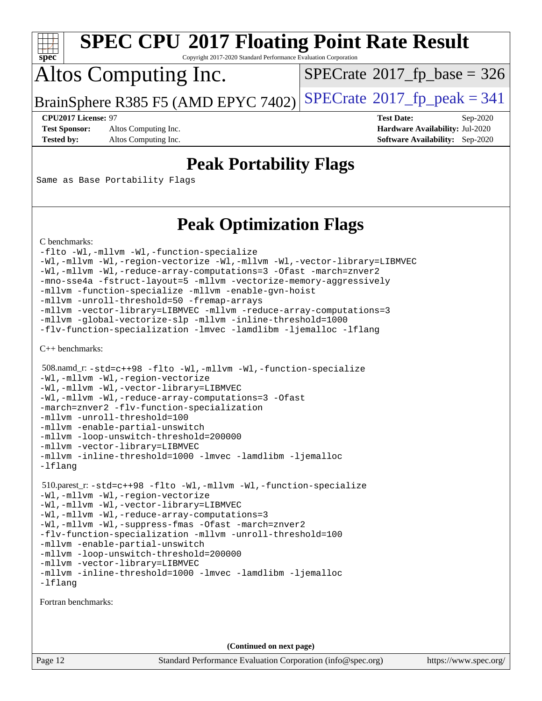

Copyright 2017-2020 Standard Performance Evaluation Corporation

## Altos Computing Inc.

 $SPECTate$ <sup>®</sup>[2017\\_fp\\_base =](http://www.spec.org/auto/cpu2017/Docs/result-fields.html#SPECrate2017fpbase) 326

BrainSphere R385 F5 (AMD EPYC 7402) [SPECrate](http://www.spec.org/auto/cpu2017/Docs/result-fields.html#SPECrate2017fppeak)®[2017\\_fp\\_peak = 3](http://www.spec.org/auto/cpu2017/Docs/result-fields.html#SPECrate2017fppeak)41

**[Test Sponsor:](http://www.spec.org/auto/cpu2017/Docs/result-fields.html#TestSponsor)** Altos Computing Inc. **[Hardware Availability:](http://www.spec.org/auto/cpu2017/Docs/result-fields.html#HardwareAvailability)** Jul-2020

**[CPU2017 License:](http://www.spec.org/auto/cpu2017/Docs/result-fields.html#CPU2017License)** 97 **[Test Date:](http://www.spec.org/auto/cpu2017/Docs/result-fields.html#TestDate)** Sep-2020 **[Tested by:](http://www.spec.org/auto/cpu2017/Docs/result-fields.html#Testedby)** Altos Computing Inc. **[Software Availability:](http://www.spec.org/auto/cpu2017/Docs/result-fields.html#SoftwareAvailability)** Sep-2020

### **[Peak Portability Flags](http://www.spec.org/auto/cpu2017/Docs/result-fields.html#PeakPortabilityFlags)**

Same as Base Portability Flags

### **[Peak Optimization Flags](http://www.spec.org/auto/cpu2017/Docs/result-fields.html#PeakOptimizationFlags)**

[C benchmarks](http://www.spec.org/auto/cpu2017/Docs/result-fields.html#Cbenchmarks):

```
-flto -Wl,-mllvm -Wl,-function-specialize
-Wl,-mllvm -Wl,-region-vectorize -Wl,-mllvm -Wl,-vector-library=LIBMVEC
-Wl,-mllvm -Wl,-reduce-array-computations=3 -Ofast -march=znver2
-mno-sse4a -fstruct-layout=5 -mllvm -vectorize-memory-aggressively
-mllvm -function-specialize -mllvm -enable-gvn-hoist
-mllvm -unroll-threshold=50 -fremap-arrays
-mllvm -vector-library=LIBMVEC -mllvm -reduce-array-computations=3
-mllvm -global-vectorize-slp -mllvm -inline-threshold=1000
-flv-function-specialization -lmvec -lamdlibm -ljemalloc -lflang
```
[C++ benchmarks:](http://www.spec.org/auto/cpu2017/Docs/result-fields.html#CXXbenchmarks)

```
 508.namd_r: -std=c++98 -flto -Wl,-mllvm -Wl,-function-specialize
-Wl,-mllvm -Wl,-region-vectorize
-Wl,-mllvm -Wl,-vector-library=LIBMVEC
-Wl,-mllvm -Wl,-reduce-array-computations=3 -Ofast
-march=znver2 -flv-function-specialization
-mllvm -unroll-threshold=100
-mllvm -enable-partial-unswitch
-mllvm -loop-unswitch-threshold=200000
-mllvm -vector-library=LIBMVEC
-mllvm -inline-threshold=1000 -lmvec -lamdlibm -ljemalloc
-lflang
 510.parest_r: -std=c++98 -flto -Wl,-mllvm -Wl,-function-specialize
-Wl,-mllvm -Wl,-region-vectorize
-Wl,-mllvm -Wl,-vector-library=LIBMVEC
-Wl,-mllvm -Wl,-reduce-array-computations=3
-Wl,-mllvm -Wl,-suppress-fmas -Ofast -march=znver2
-flv-function-specialization -mllvm -unroll-threshold=100
-mllvm -enable-partial-unswitch
-mllvm -loop-unswitch-threshold=200000
-mllvm -vector-library=LIBMVEC
-mllvm -inline-threshold=1000 -lmvec -lamdlibm -ljemalloc
-lflang
```
[Fortran benchmarks](http://www.spec.org/auto/cpu2017/Docs/result-fields.html#Fortranbenchmarks):

**(Continued on next page)**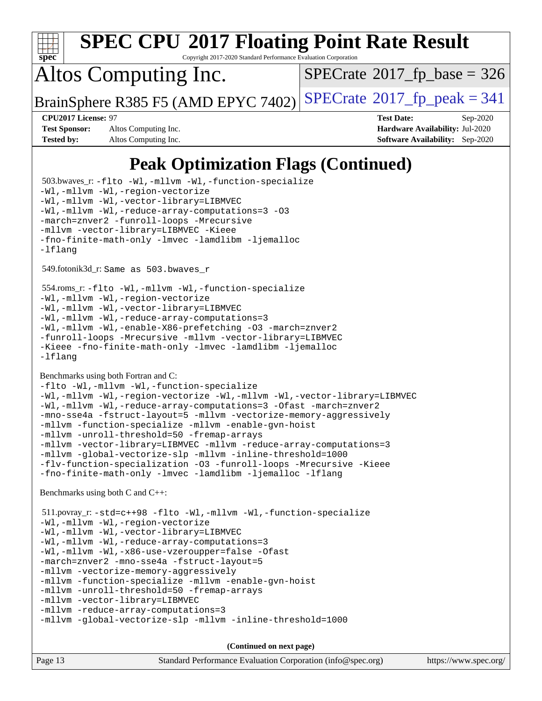

Copyright 2017-2020 Standard Performance Evaluation Corporation

## Altos Computing Inc.

 $SPECTate$ <sup>®</sup>[2017\\_fp\\_base =](http://www.spec.org/auto/cpu2017/Docs/result-fields.html#SPECrate2017fpbase) 326

BrainSphere R385 F5 (AMD EPYC 7402) [SPECrate](http://www.spec.org/auto/cpu2017/Docs/result-fields.html#SPECrate2017fppeak)®[2017\\_fp\\_peak = 3](http://www.spec.org/auto/cpu2017/Docs/result-fields.html#SPECrate2017fppeak)41

**[Test Sponsor:](http://www.spec.org/auto/cpu2017/Docs/result-fields.html#TestSponsor)** Altos Computing Inc. **[Hardware Availability:](http://www.spec.org/auto/cpu2017/Docs/result-fields.html#HardwareAvailability)** Jul-2020 **[Tested by:](http://www.spec.org/auto/cpu2017/Docs/result-fields.html#Testedby)** Altos Computing Inc. **[Software Availability:](http://www.spec.org/auto/cpu2017/Docs/result-fields.html#SoftwareAvailability)** Sep-2020

**[CPU2017 License:](http://www.spec.org/auto/cpu2017/Docs/result-fields.html#CPU2017License)** 97 **[Test Date:](http://www.spec.org/auto/cpu2017/Docs/result-fields.html#TestDate)** Sep-2020

### **[Peak Optimization Flags \(Continued\)](http://www.spec.org/auto/cpu2017/Docs/result-fields.html#PeakOptimizationFlags)**

Page 13 Standard Performance Evaluation Corporation [\(info@spec.org\)](mailto:info@spec.org) <https://www.spec.org/> 503.bwaves\_r: [-flto](http://www.spec.org/cpu2017/results/res2020q4/cpu2017-20201012-24193.flags.html#user_peakFOPTIMIZELDFLAGS503_bwaves_r_aocc-flto) [-Wl,-mllvm -Wl,-function-specialize](http://www.spec.org/cpu2017/results/res2020q4/cpu2017-20201012-24193.flags.html#user_peakLDFLAGS503_bwaves_r_F-function-specialize_7e7e661e57922243ee67c9a1251cb8910e607325179a0ce7f2884e09a6f5d4a5ef0ae4f37e8a2a11c95fc48e931f06dc2b6016f14b511fcb441e048bef1b065a) [-Wl,-mllvm -Wl,-region-vectorize](http://www.spec.org/cpu2017/results/res2020q4/cpu2017-20201012-24193.flags.html#user_peakLDFLAGS503_bwaves_r_F-region-vectorize_fb6c6b5aa293c88efc6c7c2b52b20755e943585b1fe8658c35afef78727fff56e1a56891413c30e36b8e2a6f9a71126986319243e80eb6110b78b288f533c52b) [-Wl,-mllvm -Wl,-vector-library=LIBMVEC](http://www.spec.org/cpu2017/results/res2020q4/cpu2017-20201012-24193.flags.html#user_peakLDFLAGS503_bwaves_r_F-use-vector-library_0a14b27fae317f283640384a31f7bfcc2bd4c1d0b5cfc618a3a430800c9b20217b00f61303eff223a3251b4f06ffbc9739dc5296db9d1fbb9ad24a3939d86d66) [-Wl,-mllvm -Wl,-reduce-array-computations=3](http://www.spec.org/cpu2017/results/res2020q4/cpu2017-20201012-24193.flags.html#user_peakLDFLAGS503_bwaves_r_F-reduce-array-computations_b882aefe7a5dda4e33149f6299762b9a720dace3e498e13756f4c04e5a19edf5315c1f3993de2e61ec41e8c206231f84e05da7040e1bb5d69ba27d10a12507e4) [-O3](http://www.spec.org/cpu2017/results/res2020q4/cpu2017-20201012-24193.flags.html#user_peakFOPTIMIZE503_bwaves_r_F-O3) [-march=znver2](http://www.spec.org/cpu2017/results/res2020q4/cpu2017-20201012-24193.flags.html#user_peakFOPTIMIZE503_bwaves_r_aocc-march_3e2e19cff2eeef60c5d90b059483627c9ea47eca6d66670dbd53f9185f6439e27eb5e104cf773e9e8ab18c8842ce63e461a3e948d0214bd567ef3ade411bf467) [-funroll-loops](http://www.spec.org/cpu2017/results/res2020q4/cpu2017-20201012-24193.flags.html#user_peakFOPTIMIZE503_bwaves_r_aocc-unroll-loops) [-Mrecursive](http://www.spec.org/cpu2017/results/res2020q4/cpu2017-20201012-24193.flags.html#user_peakFOPTIMIZE503_bwaves_r_F-mrecursive_20a145d63f12d5750a899e17d4450b5b8b40330a9bb4af13688ca650e6fb30857bbbe44fb35cdbb895df6e5b2769de0a0d7659f51ff17acfbef6febafec4023f) [-mllvm -vector-library=LIBMVEC](http://www.spec.org/cpu2017/results/res2020q4/cpu2017-20201012-24193.flags.html#user_peakFOPTIMIZE503_bwaves_r_F-use-vector-library_e584e20b4f7ec96aa109254b65d8e01d864f3d68580371b9d93ed7c338191d4cfce20c3c864632264effc6bbe4c7c38153d02096a342ee92501c4a53204a7871) [-Kieee](http://www.spec.org/cpu2017/results/res2020q4/cpu2017-20201012-24193.flags.html#user_peakEXTRA_FFLAGS503_bwaves_r_F-kieee) [-fno-finite-math-only](http://www.spec.org/cpu2017/results/res2020q4/cpu2017-20201012-24193.flags.html#user_peakEXTRA_FFLAGS503_bwaves_r_aocc-fno-finite-math-only) [-lmvec](http://www.spec.org/cpu2017/results/res2020q4/cpu2017-20201012-24193.flags.html#user_peakEXTRA_FLIBSEXTRA_LIBS503_bwaves_r_F-lmvec) [-lamdlibm](http://www.spec.org/cpu2017/results/res2020q4/cpu2017-20201012-24193.flags.html#user_peakEXTRA_FLIBSEXTRA_LIBS503_bwaves_r_F-lamdlibm) [-ljemalloc](http://www.spec.org/cpu2017/results/res2020q4/cpu2017-20201012-24193.flags.html#user_peakEXTRA_LIBS503_bwaves_r_jemalloc-lib) [-lflang](http://www.spec.org/cpu2017/results/res2020q4/cpu2017-20201012-24193.flags.html#user_peakEXTRA_LIBS503_bwaves_r_F-lflang) 549.fotonik3d\_r: Same as 503.bwaves\_r 554.roms\_r: [-flto](http://www.spec.org/cpu2017/results/res2020q4/cpu2017-20201012-24193.flags.html#user_peakFOPTIMIZELDFLAGS554_roms_r_aocc-flto) [-Wl,-mllvm -Wl,-function-specialize](http://www.spec.org/cpu2017/results/res2020q4/cpu2017-20201012-24193.flags.html#user_peakLDFLAGS554_roms_r_F-function-specialize_7e7e661e57922243ee67c9a1251cb8910e607325179a0ce7f2884e09a6f5d4a5ef0ae4f37e8a2a11c95fc48e931f06dc2b6016f14b511fcb441e048bef1b065a) [-Wl,-mllvm -Wl,-region-vectorize](http://www.spec.org/cpu2017/results/res2020q4/cpu2017-20201012-24193.flags.html#user_peakLDFLAGS554_roms_r_F-region-vectorize_fb6c6b5aa293c88efc6c7c2b52b20755e943585b1fe8658c35afef78727fff56e1a56891413c30e36b8e2a6f9a71126986319243e80eb6110b78b288f533c52b) [-Wl,-mllvm -Wl,-vector-library=LIBMVEC](http://www.spec.org/cpu2017/results/res2020q4/cpu2017-20201012-24193.flags.html#user_peakLDFLAGS554_roms_r_F-use-vector-library_0a14b27fae317f283640384a31f7bfcc2bd4c1d0b5cfc618a3a430800c9b20217b00f61303eff223a3251b4f06ffbc9739dc5296db9d1fbb9ad24a3939d86d66) [-Wl,-mllvm -Wl,-reduce-array-computations=3](http://www.spec.org/cpu2017/results/res2020q4/cpu2017-20201012-24193.flags.html#user_peakLDFLAGS554_roms_r_F-reduce-array-computations_b882aefe7a5dda4e33149f6299762b9a720dace3e498e13756f4c04e5a19edf5315c1f3993de2e61ec41e8c206231f84e05da7040e1bb5d69ba27d10a12507e4) [-Wl,-mllvm -Wl,-enable-X86-prefetching](http://www.spec.org/cpu2017/results/res2020q4/cpu2017-20201012-24193.flags.html#user_peakLDFFLAGS554_roms_r_F-enable-X86-prefetching_362de7b2f7f327d498ff3502bcaa6d8937de40fbbc59a600e539433e6b2cb9ea5e30d4a00c3465ce74a160670b5fcaffd57d10fdc90b0d7ee2c6f387a6bf1aee) [-O3](http://www.spec.org/cpu2017/results/res2020q4/cpu2017-20201012-24193.flags.html#user_peakFOPTIMIZE554_roms_r_F-O3) [-march=znver2](http://www.spec.org/cpu2017/results/res2020q4/cpu2017-20201012-24193.flags.html#user_peakFOPTIMIZE554_roms_r_aocc-march_3e2e19cff2eeef60c5d90b059483627c9ea47eca6d66670dbd53f9185f6439e27eb5e104cf773e9e8ab18c8842ce63e461a3e948d0214bd567ef3ade411bf467) [-funroll-loops](http://www.spec.org/cpu2017/results/res2020q4/cpu2017-20201012-24193.flags.html#user_peakFOPTIMIZE554_roms_r_aocc-unroll-loops) [-Mrecursive](http://www.spec.org/cpu2017/results/res2020q4/cpu2017-20201012-24193.flags.html#user_peakFOPTIMIZE554_roms_r_F-mrecursive_20a145d63f12d5750a899e17d4450b5b8b40330a9bb4af13688ca650e6fb30857bbbe44fb35cdbb895df6e5b2769de0a0d7659f51ff17acfbef6febafec4023f) [-mllvm -vector-library=LIBMVEC](http://www.spec.org/cpu2017/results/res2020q4/cpu2017-20201012-24193.flags.html#user_peakFOPTIMIZE554_roms_r_F-use-vector-library_e584e20b4f7ec96aa109254b65d8e01d864f3d68580371b9d93ed7c338191d4cfce20c3c864632264effc6bbe4c7c38153d02096a342ee92501c4a53204a7871) [-Kieee](http://www.spec.org/cpu2017/results/res2020q4/cpu2017-20201012-24193.flags.html#user_peakEXTRA_FFLAGS554_roms_r_F-kieee) [-fno-finite-math-only](http://www.spec.org/cpu2017/results/res2020q4/cpu2017-20201012-24193.flags.html#user_peakEXTRA_FFLAGS554_roms_r_aocc-fno-finite-math-only) [-lmvec](http://www.spec.org/cpu2017/results/res2020q4/cpu2017-20201012-24193.flags.html#user_peakEXTRA_FLIBSEXTRA_LIBS554_roms_r_F-lmvec) [-lamdlibm](http://www.spec.org/cpu2017/results/res2020q4/cpu2017-20201012-24193.flags.html#user_peakEXTRA_FLIBSEXTRA_LIBS554_roms_r_F-lamdlibm) [-ljemalloc](http://www.spec.org/cpu2017/results/res2020q4/cpu2017-20201012-24193.flags.html#user_peakEXTRA_LIBS554_roms_r_jemalloc-lib) [-lflang](http://www.spec.org/cpu2017/results/res2020q4/cpu2017-20201012-24193.flags.html#user_peakEXTRA_LIBS554_roms_r_F-lflang) [Benchmarks using both Fortran and C](http://www.spec.org/auto/cpu2017/Docs/result-fields.html#BenchmarksusingbothFortranandC): [-flto](http://www.spec.org/cpu2017/results/res2020q4/cpu2017-20201012-24193.flags.html#user_CC_FCpeak_aocc-flto) [-Wl,-mllvm -Wl,-function-specialize](http://www.spec.org/cpu2017/results/res2020q4/cpu2017-20201012-24193.flags.html#user_CC_FCpeak_F-function-specialize_7e7e661e57922243ee67c9a1251cb8910e607325179a0ce7f2884e09a6f5d4a5ef0ae4f37e8a2a11c95fc48e931f06dc2b6016f14b511fcb441e048bef1b065a) [-Wl,-mllvm -Wl,-region-vectorize](http://www.spec.org/cpu2017/results/res2020q4/cpu2017-20201012-24193.flags.html#user_CC_FCpeak_F-region-vectorize_fb6c6b5aa293c88efc6c7c2b52b20755e943585b1fe8658c35afef78727fff56e1a56891413c30e36b8e2a6f9a71126986319243e80eb6110b78b288f533c52b) [-Wl,-mllvm -Wl,-vector-library=LIBMVEC](http://www.spec.org/cpu2017/results/res2020q4/cpu2017-20201012-24193.flags.html#user_CC_FCpeak_F-use-vector-library_0a14b27fae317f283640384a31f7bfcc2bd4c1d0b5cfc618a3a430800c9b20217b00f61303eff223a3251b4f06ffbc9739dc5296db9d1fbb9ad24a3939d86d66) [-Wl,-mllvm -Wl,-reduce-array-computations=3](http://www.spec.org/cpu2017/results/res2020q4/cpu2017-20201012-24193.flags.html#user_CC_FCpeak_F-reduce-array-computations_b882aefe7a5dda4e33149f6299762b9a720dace3e498e13756f4c04e5a19edf5315c1f3993de2e61ec41e8c206231f84e05da7040e1bb5d69ba27d10a12507e4) [-Ofast](http://www.spec.org/cpu2017/results/res2020q4/cpu2017-20201012-24193.flags.html#user_CC_FCpeak_aocc-Ofast) [-march=znver2](http://www.spec.org/cpu2017/results/res2020q4/cpu2017-20201012-24193.flags.html#user_CC_FCpeak_aocc-march_3e2e19cff2eeef60c5d90b059483627c9ea47eca6d66670dbd53f9185f6439e27eb5e104cf773e9e8ab18c8842ce63e461a3e948d0214bd567ef3ade411bf467) [-mno-sse4a](http://www.spec.org/cpu2017/results/res2020q4/cpu2017-20201012-24193.flags.html#user_CC_FCpeak_F-mno-sse4a) [-fstruct-layout=5](http://www.spec.org/cpu2017/results/res2020q4/cpu2017-20201012-24193.flags.html#user_CC_FCpeak_F-struct-layout_0de9d3561e9f54a54e0843cce081bd13a08ab3e9a82696f3346606c2e11360c37113781019b02fa128d9f650e68f1ffd209bab5c3a026c1ad23e4e7f60646b23) [-mllvm -vectorize-memory-aggressively](http://www.spec.org/cpu2017/results/res2020q4/cpu2017-20201012-24193.flags.html#user_CC_FCpeak_F-vectorize-memory-aggressively_24b72a4417f50ade9e698c5b3bed87ab456cc6fc8ec6439480cb84f36ad6a3975af6e87206dea402e3871a1464ff3d60bc798e0250f330177ba629a260df1857) [-mllvm -function-specialize](http://www.spec.org/cpu2017/results/res2020q4/cpu2017-20201012-24193.flags.html#user_CC_FCpeak_F-function-specialize_233b3bdba86027f1b094368157e481c5bc59f40286dc25bfadc1858dcd5745c24fd30d5f188710db7fea399bcc9f44a80b3ce3aacc70a8870250c3ae5e1f35b8) [-mllvm -enable-gvn-hoist](http://www.spec.org/cpu2017/results/res2020q4/cpu2017-20201012-24193.flags.html#user_CC_FCpeak_F-enable-gvn-hoist_e5856354646dd6ca1333a0ad99b817e4cf8932b91b82809fd8fd47ceff7b22a89eba5c98fd3e3fa5200368fd772cec3dd56abc3c8f7b655a71b9f9848dddedd5) [-mllvm -unroll-threshold=50](http://www.spec.org/cpu2017/results/res2020q4/cpu2017-20201012-24193.flags.html#user_CC_FCpeak_F-unroll-threshold_458874500b2c105d6d5cb4d7a611c40e2b16e9e3d26b355fea72d644c3673b4de4b3932662f0ed3dbec75c491a13da2d2ca81180bd779dc531083ef1e1e549dc) [-fremap-arrays](http://www.spec.org/cpu2017/results/res2020q4/cpu2017-20201012-24193.flags.html#user_CC_FCpeak_F-fremap-arrays) [-mllvm -vector-library=LIBMVEC](http://www.spec.org/cpu2017/results/res2020q4/cpu2017-20201012-24193.flags.html#user_CC_FCpeak_F-use-vector-library_e584e20b4f7ec96aa109254b65d8e01d864f3d68580371b9d93ed7c338191d4cfce20c3c864632264effc6bbe4c7c38153d02096a342ee92501c4a53204a7871) [-mllvm -reduce-array-computations=3](http://www.spec.org/cpu2017/results/res2020q4/cpu2017-20201012-24193.flags.html#user_CC_FCpeak_F-reduce-array-computations_aceadb8604558b566e0e3a0d7a3c1533923dd1fa0889614e16288028922629a28d5695c24d3b3be4306b1e311c54317dfffe3a2e57fbcaabc737a1798de39145) [-mllvm -global-vectorize-slp](http://www.spec.org/cpu2017/results/res2020q4/cpu2017-20201012-24193.flags.html#user_CC_FCpeak_F-global-vectorize-slp_a3935e8627af4ced727033b1ffd4db27f4d541a363d28d82bf4c2925fb3a0fd4115d6e42d13a2829f9e024d6608eb67a85cb49770f2da5c5ac8dbc737afad603) [-mllvm -inline-threshold=1000](http://www.spec.org/cpu2017/results/res2020q4/cpu2017-20201012-24193.flags.html#user_CC_FCpeak_dragonegg-llvm-inline-threshold_b7832241b0a6397e4ecdbaf0eb7defdc10f885c2a282fa3240fdc99844d543fda39cf8a4a9dccf68cf19b5438ac3b455264f478df15da0f4988afa40d8243bab) [-flv-function-specialization](http://www.spec.org/cpu2017/results/res2020q4/cpu2017-20201012-24193.flags.html#user_CC_FCpeak_F-flv-function-specialization) [-O3](http://www.spec.org/cpu2017/results/res2020q4/cpu2017-20201012-24193.flags.html#user_CC_FCpeak_F-O3) [-funroll-loops](http://www.spec.org/cpu2017/results/res2020q4/cpu2017-20201012-24193.flags.html#user_CC_FCpeak_aocc-unroll-loops) [-Mrecursive](http://www.spec.org/cpu2017/results/res2020q4/cpu2017-20201012-24193.flags.html#user_CC_FCpeak_F-mrecursive_20a145d63f12d5750a899e17d4450b5b8b40330a9bb4af13688ca650e6fb30857bbbe44fb35cdbb895df6e5b2769de0a0d7659f51ff17acfbef6febafec4023f) [-Kieee](http://www.spec.org/cpu2017/results/res2020q4/cpu2017-20201012-24193.flags.html#user_CC_FCpeak_F-kieee) [-fno-finite-math-only](http://www.spec.org/cpu2017/results/res2020q4/cpu2017-20201012-24193.flags.html#user_CC_FCpeak_aocc-fno-finite-math-only) [-lmvec](http://www.spec.org/cpu2017/results/res2020q4/cpu2017-20201012-24193.flags.html#user_CC_FCpeak_F-lmvec) [-lamdlibm](http://www.spec.org/cpu2017/results/res2020q4/cpu2017-20201012-24193.flags.html#user_CC_FCpeak_F-lamdlibm) [-ljemalloc](http://www.spec.org/cpu2017/results/res2020q4/cpu2017-20201012-24193.flags.html#user_CC_FCpeak_jemalloc-lib) [-lflang](http://www.spec.org/cpu2017/results/res2020q4/cpu2017-20201012-24193.flags.html#user_CC_FCpeak_F-lflang) [Benchmarks using both C and C++](http://www.spec.org/auto/cpu2017/Docs/result-fields.html#BenchmarksusingbothCandCXX): 511.povray\_r: [-std=c++98](http://www.spec.org/cpu2017/results/res2020q4/cpu2017-20201012-24193.flags.html#user_peakCXXLD511_povray_r_std-cpp) [-flto](http://www.spec.org/cpu2017/results/res2020q4/cpu2017-20201012-24193.flags.html#user_peakCOPTIMIZECXXOPTIMIZELDFLAGS511_povray_r_aocc-flto) [-Wl,-mllvm -Wl,-function-specialize](http://www.spec.org/cpu2017/results/res2020q4/cpu2017-20201012-24193.flags.html#user_peakLDFLAGS511_povray_r_F-function-specialize_7e7e661e57922243ee67c9a1251cb8910e607325179a0ce7f2884e09a6f5d4a5ef0ae4f37e8a2a11c95fc48e931f06dc2b6016f14b511fcb441e048bef1b065a) [-Wl,-mllvm -Wl,-region-vectorize](http://www.spec.org/cpu2017/results/res2020q4/cpu2017-20201012-24193.flags.html#user_peakLDFLAGS511_povray_r_F-region-vectorize_fb6c6b5aa293c88efc6c7c2b52b20755e943585b1fe8658c35afef78727fff56e1a56891413c30e36b8e2a6f9a71126986319243e80eb6110b78b288f533c52b) [-Wl,-mllvm -Wl,-vector-library=LIBMVEC](http://www.spec.org/cpu2017/results/res2020q4/cpu2017-20201012-24193.flags.html#user_peakLDFLAGS511_povray_r_F-use-vector-library_0a14b27fae317f283640384a31f7bfcc2bd4c1d0b5cfc618a3a430800c9b20217b00f61303eff223a3251b4f06ffbc9739dc5296db9d1fbb9ad24a3939d86d66) [-Wl,-mllvm -Wl,-reduce-array-computations=3](http://www.spec.org/cpu2017/results/res2020q4/cpu2017-20201012-24193.flags.html#user_peakLDFLAGS511_povray_r_F-reduce-array-computations_b882aefe7a5dda4e33149f6299762b9a720dace3e498e13756f4c04e5a19edf5315c1f3993de2e61ec41e8c206231f84e05da7040e1bb5d69ba27d10a12507e4) [-Wl,-mllvm -Wl,-x86-use-vzeroupper=false](http://www.spec.org/cpu2017/results/res2020q4/cpu2017-20201012-24193.flags.html#user_peakLDCXXFLAGS511_povray_r_F-no-vzeroupper_f792211b0552b0142c11cf651c85f88d7eca3e3e6d4ab29ab8b0b7be9c7d83df7aebb846b5dded1424ec84d39acb59d058815f97bc3ae9de4ba00ee4e2945c83) [-Ofast](http://www.spec.org/cpu2017/results/res2020q4/cpu2017-20201012-24193.flags.html#user_peakCOPTIMIZECXXOPTIMIZE511_povray_r_aocc-Ofast) [-march=znver2](http://www.spec.org/cpu2017/results/res2020q4/cpu2017-20201012-24193.flags.html#user_peakCOPTIMIZECXXOPTIMIZE511_povray_r_aocc-march_3e2e19cff2eeef60c5d90b059483627c9ea47eca6d66670dbd53f9185f6439e27eb5e104cf773e9e8ab18c8842ce63e461a3e948d0214bd567ef3ade411bf467) [-mno-sse4a](http://www.spec.org/cpu2017/results/res2020q4/cpu2017-20201012-24193.flags.html#user_peakCOPTIMIZE511_povray_r_F-mno-sse4a) [-fstruct-layout=5](http://www.spec.org/cpu2017/results/res2020q4/cpu2017-20201012-24193.flags.html#user_peakCOPTIMIZE511_povray_r_F-struct-layout_0de9d3561e9f54a54e0843cce081bd13a08ab3e9a82696f3346606c2e11360c37113781019b02fa128d9f650e68f1ffd209bab5c3a026c1ad23e4e7f60646b23) [-mllvm -vectorize-memory-aggressively](http://www.spec.org/cpu2017/results/res2020q4/cpu2017-20201012-24193.flags.html#user_peakCOPTIMIZE511_povray_r_F-vectorize-memory-aggressively_24b72a4417f50ade9e698c5b3bed87ab456cc6fc8ec6439480cb84f36ad6a3975af6e87206dea402e3871a1464ff3d60bc798e0250f330177ba629a260df1857) [-mllvm -function-specialize](http://www.spec.org/cpu2017/results/res2020q4/cpu2017-20201012-24193.flags.html#user_peakCOPTIMIZE511_povray_r_F-function-specialize_233b3bdba86027f1b094368157e481c5bc59f40286dc25bfadc1858dcd5745c24fd30d5f188710db7fea399bcc9f44a80b3ce3aacc70a8870250c3ae5e1f35b8) [-mllvm -enable-gvn-hoist](http://www.spec.org/cpu2017/results/res2020q4/cpu2017-20201012-24193.flags.html#user_peakCOPTIMIZE511_povray_r_F-enable-gvn-hoist_e5856354646dd6ca1333a0ad99b817e4cf8932b91b82809fd8fd47ceff7b22a89eba5c98fd3e3fa5200368fd772cec3dd56abc3c8f7b655a71b9f9848dddedd5) [-mllvm -unroll-threshold=50](http://www.spec.org/cpu2017/results/res2020q4/cpu2017-20201012-24193.flags.html#user_peakCOPTIMIZE511_povray_r_F-unroll-threshold_458874500b2c105d6d5cb4d7a611c40e2b16e9e3d26b355fea72d644c3673b4de4b3932662f0ed3dbec75c491a13da2d2ca81180bd779dc531083ef1e1e549dc) [-fremap-arrays](http://www.spec.org/cpu2017/results/res2020q4/cpu2017-20201012-24193.flags.html#user_peakCOPTIMIZE511_povray_r_F-fremap-arrays) [-mllvm -vector-library=LIBMVEC](http://www.spec.org/cpu2017/results/res2020q4/cpu2017-20201012-24193.flags.html#user_peakCOPTIMIZECXXOPTIMIZE511_povray_r_F-use-vector-library_e584e20b4f7ec96aa109254b65d8e01d864f3d68580371b9d93ed7c338191d4cfce20c3c864632264effc6bbe4c7c38153d02096a342ee92501c4a53204a7871) [-mllvm -reduce-array-computations=3](http://www.spec.org/cpu2017/results/res2020q4/cpu2017-20201012-24193.flags.html#user_peakCOPTIMIZE511_povray_r_F-reduce-array-computations_aceadb8604558b566e0e3a0d7a3c1533923dd1fa0889614e16288028922629a28d5695c24d3b3be4306b1e311c54317dfffe3a2e57fbcaabc737a1798de39145) [-mllvm -global-vectorize-slp](http://www.spec.org/cpu2017/results/res2020q4/cpu2017-20201012-24193.flags.html#user_peakCOPTIMIZE511_povray_r_F-global-vectorize-slp_a3935e8627af4ced727033b1ffd4db27f4d541a363d28d82bf4c2925fb3a0fd4115d6e42d13a2829f9e024d6608eb67a85cb49770f2da5c5ac8dbc737afad603) [-mllvm -inline-threshold=1000](http://www.spec.org/cpu2017/results/res2020q4/cpu2017-20201012-24193.flags.html#user_peakCOPTIMIZECXXOPTIMIZE511_povray_r_dragonegg-llvm-inline-threshold_b7832241b0a6397e4ecdbaf0eb7defdc10f885c2a282fa3240fdc99844d543fda39cf8a4a9dccf68cf19b5438ac3b455264f478df15da0f4988afa40d8243bab) **(Continued on next page)**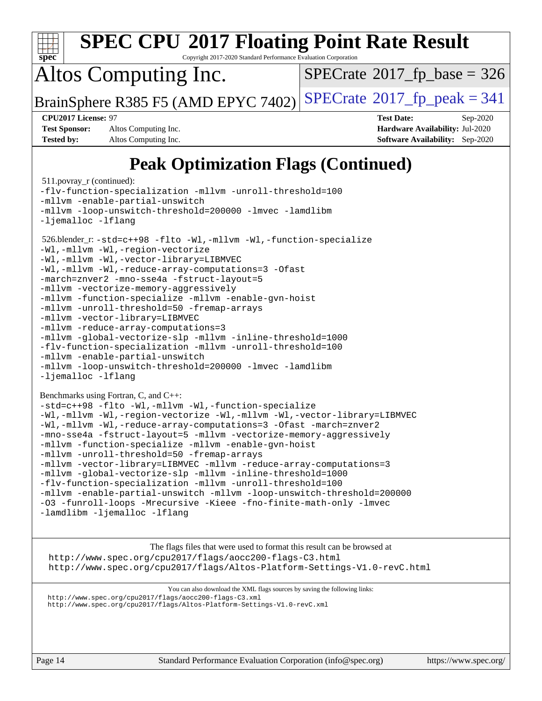